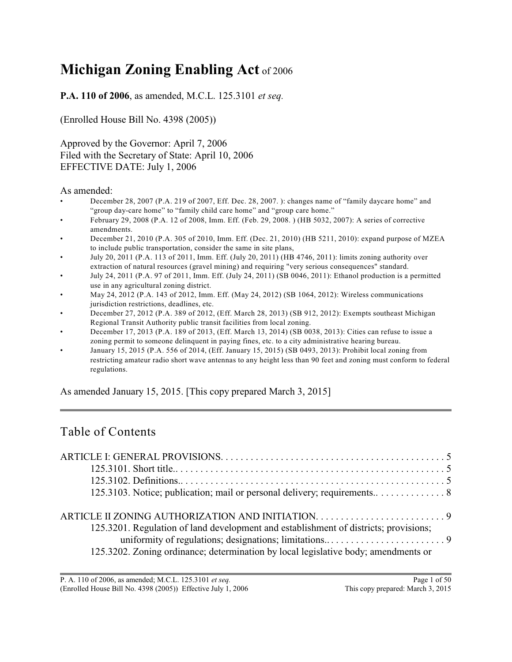# **Michigan Zoning Enabling Act** of 2006

**P.A. 110 of 2006**, as amended, M.C.L. 125.3101 *et seq.*

(Enrolled House Bill No. 4398 (2005))

Approved by the Governor: April 7, 2006 Filed with the Secretary of State: April 10, 2006 EFFECTIVE DATE: July 1, 2006

#### As amended:

- December 28, 2007 (P.A. 219 of 2007, Eff. Dec. 28, 2007. ): changes name of "family daycare home" and "group day-care home" to "family child care home" and "group care home."
- February 29, 2008 (P.A. 12 of 2008, Imm. Eff. (Feb. 29, 2008. ) (HB 5032, 2007): A series of corrective amendments.
- December 21, 2010 (P.A. 305 of 2010, Imm. Eff. (Dec. 21, 2010) (HB 5211, 2010): expand purpose of MZEA to include public transportation, consider the same in site plans,
- July 20, 2011 (P.A. 113 of 2011, Imm. Eff. (July 20, 2011) (HB 4746, 2011): limits zoning authority over extraction of natural resources (gravel mining) and requiring "very serious consequences" standard.
- July 24, 2011 (P.A. 97 of 2011, Imm. Eff. (July 24, 2011) (SB 0046, 2011): Ethanol production is a permitted use in any agricultural zoning district.
- May 24, 2012 (P.A. 143 of 2012, Imm. Eff. (May 24, 2012) (SB 1064, 2012): Wireless communications jurisdiction restrictions, deadlines, etc.
- December 27, 2012 (P.A. 389 of 2012, (Eff. March 28, 2013) (SB 912, 2012): Exempts southeast Michigan Regional Transit Authority public transit facilities from local zoning.
- December 17, 2013 (P.A. 189 of 2013, (Eff. March 13, 2014) (SB 0038, 2013): Cities can refuse to issue a zoning permit to someone delinquent in paying fines, etc. to a city administrative hearing bureau.
- January 15, 2015 (P.A. 556 of 2014, (Eff. January 15, 2015) (SB 0493, 2013): Prohibit local zoning from restricting amateur radio short wave antennas to any height less than 90 feet and zoning must conform to federal regulations.

As amended January 15, 2015. [This copy prepared March 3, 2015]

# Table of Contents

| 125.3201. Regulation of land development and establishment of districts; provisions;<br>125.3202. Zoning ordinance; determination by local legislative body; amendments or |  |
|----------------------------------------------------------------------------------------------------------------------------------------------------------------------------|--|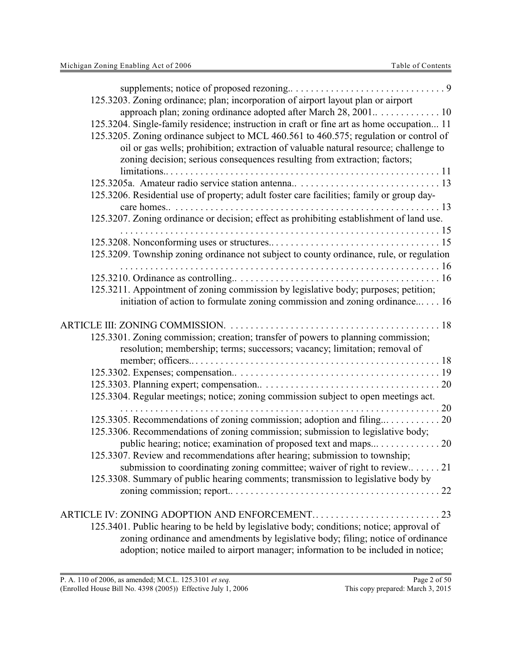| 125.3203. Zoning ordinance; plan; incorporation of airport layout plan or airport<br>125.3204. Single-family residence; instruction in craft or fine art as home occupation 11<br>125.3205. Zoning ordinance subject to MCL 460.561 to 460.575; regulation or control of<br>oil or gas wells; prohibition; extraction of valuable natural resource; challenge to<br>zoning decision; serious consequences resulting from extraction; factors; |
|-----------------------------------------------------------------------------------------------------------------------------------------------------------------------------------------------------------------------------------------------------------------------------------------------------------------------------------------------------------------------------------------------------------------------------------------------|
| 125.3206. Residential use of property; adult foster care facilities; family or group day-                                                                                                                                                                                                                                                                                                                                                     |
| 125.3207. Zoning ordinance or decision; effect as prohibiting establishment of land use.                                                                                                                                                                                                                                                                                                                                                      |
| 125.3209. Township zoning ordinance not subject to county ordinance, rule, or regulation<br>125.3211. Appointment of zoning commission by legislative body; purposes; petition;                                                                                                                                                                                                                                                               |
| initiation of action to formulate zoning commission and zoning ordinance 16                                                                                                                                                                                                                                                                                                                                                                   |
| 125.3301. Zoning commission; creation; transfer of powers to planning commission;<br>resolution; membership; terms; successors; vacancy; limitation; removal of                                                                                                                                                                                                                                                                               |
| 125.3304. Regular meetings; notice; zoning commission subject to open meetings act.                                                                                                                                                                                                                                                                                                                                                           |
| 125.3306. Recommendations of zoning commission; submission to legislative body;<br>public hearing; notice; examination of proposed text and maps 20                                                                                                                                                                                                                                                                                           |
| 125.3307. Review and recommendations after hearing; submission to township;<br>submission to coordinating zoning committee; waiver of right to review21<br>125.3308. Summary of public hearing comments; transmission to legislative body by                                                                                                                                                                                                  |
| 125.3401. Public hearing to be held by legislative body; conditions; notice; approval of<br>zoning ordinance and amendments by legislative body; filing; notice of ordinance<br>adoption; notice mailed to airport manager; information to be included in notice;                                                                                                                                                                             |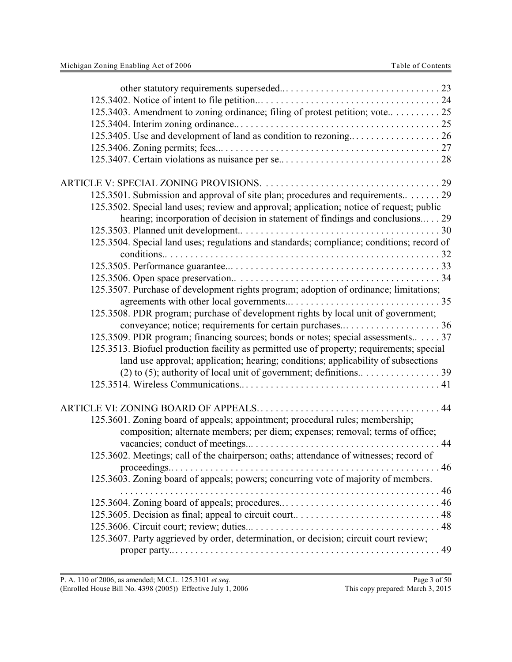| 125.3403. Amendment to zoning ordinance; filing of protest petition; vote 25              |
|-------------------------------------------------------------------------------------------|
|                                                                                           |
|                                                                                           |
|                                                                                           |
|                                                                                           |
|                                                                                           |
|                                                                                           |
| 125.3501. Submission and approval of site plan; procedures and requirements 29            |
| 125.3502. Special land uses; review and approval; application; notice of request; public  |
| hearing; incorporation of decision in statement of findings and conclusions 29            |
|                                                                                           |
| 125.3504. Special land uses; regulations and standards; compliance; conditions; record of |
|                                                                                           |
|                                                                                           |
|                                                                                           |
|                                                                                           |
| 125.3507. Purchase of development rights program; adoption of ordinance; limitations;     |
|                                                                                           |
| 125.3508. PDR program; purchase of development rights by local unit of government;        |
| conveyance; notice; requirements for certain purchases36                                  |
| 125.3509. PDR program; financing sources; bonds or notes; special assessments 37          |
| 125.3513. Biofuel production facility as permitted use of property; requirements; special |
| land use approval; application; hearing; conditions; applicability of subsections         |
|                                                                                           |
|                                                                                           |
|                                                                                           |
|                                                                                           |
| 125.3601. Zoning board of appeals; appointment; procedural rules; membership;             |
| composition; alternate members; per diem; expenses; removal; terms of office;             |
|                                                                                           |
| 125.3602. Meetings; call of the chairperson; oaths; attendance of witnesses; record of    |
|                                                                                           |
| 125.3603. Zoning board of appeals; powers; concurring vote of majority of members.        |
|                                                                                           |
|                                                                                           |
|                                                                                           |
|                                                                                           |
| 125.3607. Party aggrieved by order, determination, or decision; circuit court review;     |
|                                                                                           |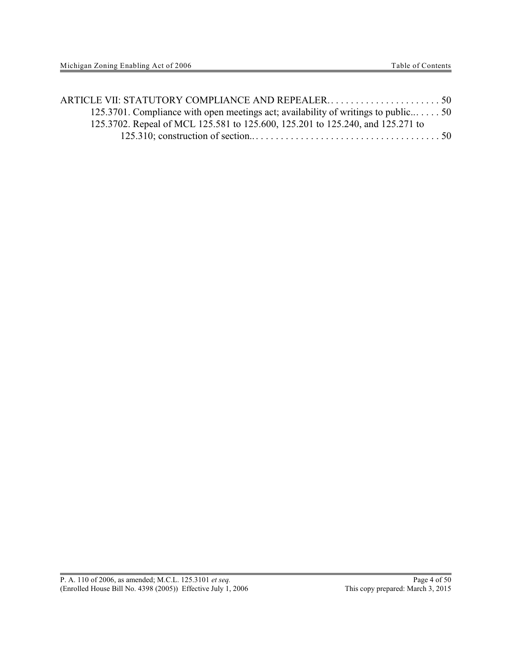| 125.3701. Compliance with open meetings act; availability of writings to public50 |  |
|-----------------------------------------------------------------------------------|--|
| 125.3702. Repeal of MCL 125.581 to 125.600, 125.201 to 125.240, and 125.271 to    |  |
|                                                                                   |  |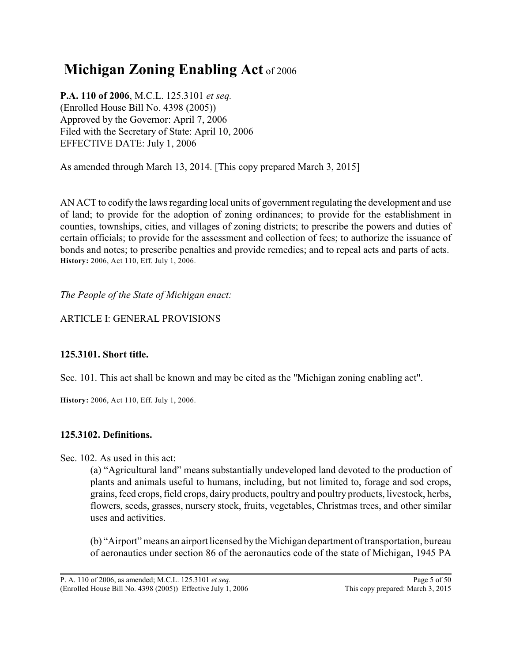# **Michigan Zoning Enabling Act** of 2006

**P.A. 110 of 2006**, M.C.L. 125.3101 *et seq.* (Enrolled House Bill No. 4398 (2005)) Approved by the Governor: April 7, 2006 Filed with the Secretary of State: April 10, 2006 EFFECTIVE DATE: July 1, 2006

As amended through March 13, 2014. [This copy prepared March 3, 2015]

AN ACT to codify the laws regarding local units of government regulating the development and use of land; to provide for the adoption of zoning ordinances; to provide for the establishment in counties, townships, cities, and villages of zoning districts; to prescribe the powers and duties of certain officials; to provide for the assessment and collection of fees; to authorize the issuance of bonds and notes; to prescribe penalties and provide remedies; and to repeal acts and parts of acts. **History:** 2006, Act 110, Eff. July 1, 2006.

*The People of the State of Michigan enact:*

# ARTICLE I: GENERAL PROVISIONS

# **125.3101. Short title.**

Sec. 101. This act shall be known and may be cited as the "Michigan zoning enabling act".

**History:** 2006, Act 110, Eff. July 1, 2006.

# **125.3102. Definitions.**

Sec. 102. As used in this act:

(a) "Agricultural land" means substantially undeveloped land devoted to the production of plants and animals useful to humans, including, but not limited to, forage and sod crops, grains, feed crops, field crops, dairy products, poultry and poultry products, livestock, herbs, flowers, seeds, grasses, nursery stock, fruits, vegetables, Christmas trees, and other similar uses and activities.

(b) "Airport" means an airport licensed bythe Michigan department of transportation, bureau of aeronautics under section 86 of the aeronautics code of the state of Michigan, 1945 PA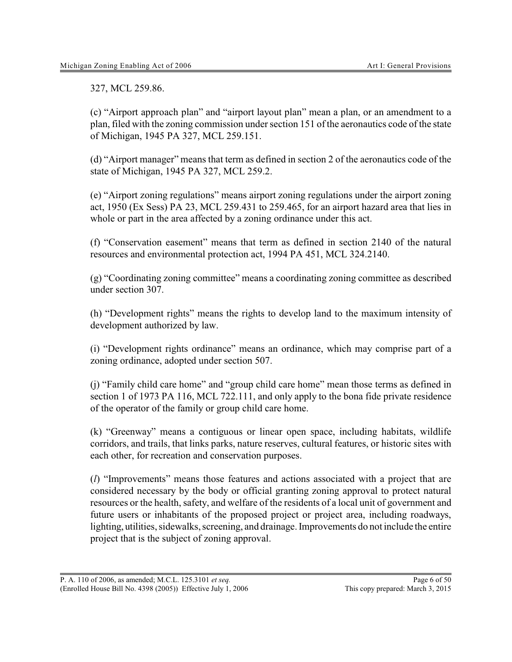327, MCL 259.86.

(c) "Airport approach plan" and "airport layout plan" mean a plan, or an amendment to a plan, filed with the zoning commission under section 151 of the aeronautics code of the state of Michigan, 1945 PA 327, MCL 259.151.

(d) "Airport manager" means that term as defined in section 2 of the aeronautics code of the state of Michigan, 1945 PA 327, MCL 259.2.

(e) "Airport zoning regulations" means airport zoning regulations under the airport zoning act, 1950 (Ex Sess) PA 23, MCL 259.431 to 259.465, for an airport hazard area that lies in whole or part in the area affected by a zoning ordinance under this act.

(f) "Conservation easement" means that term as defined in section 2140 of the natural resources and environmental protection act, 1994 PA 451, MCL 324.2140.

(g) "Coordinating zoning committee" means a coordinating zoning committee as described under section 307.

(h) "Development rights" means the rights to develop land to the maximum intensity of development authorized by law.

(i) "Development rights ordinance" means an ordinance, which may comprise part of a zoning ordinance, adopted under section 507.

(j) "Family child care home" and "group child care home" mean those terms as defined in section 1 of 1973 PA 116, MCL 722.111, and only apply to the bona fide private residence of the operator of the family or group child care home.

(k) "Greenway" means a contiguous or linear open space, including habitats, wildlife corridors, and trails, that links parks, nature reserves, cultural features, or historic sites with each other, for recreation and conservation purposes.

(*l*) "Improvements" means those features and actions associated with a project that are considered necessary by the body or official granting zoning approval to protect natural resources or the health, safety, and welfare of the residents of a local unit of government and future users or inhabitants of the proposed project or project area, including roadways, lighting, utilities, sidewalks, screening, and drainage. Improvements do not include the entire project that is the subject of zoning approval.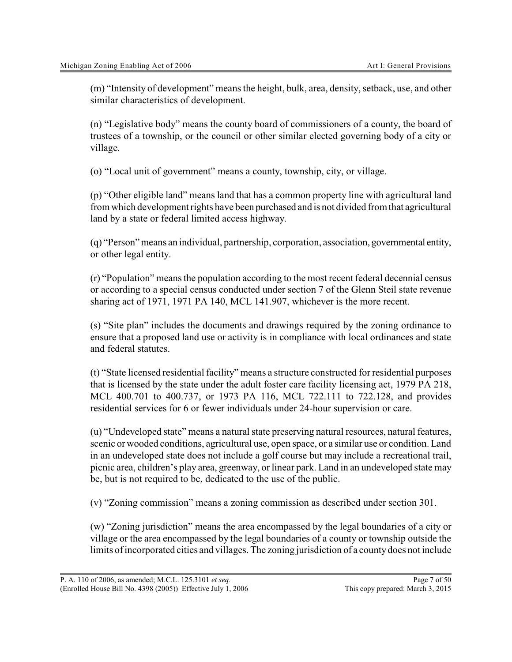(m) "Intensity of development" means the height, bulk, area, density, setback, use, and other similar characteristics of development.

(n) "Legislative body" means the county board of commissioners of a county, the board of trustees of a township, or the council or other similar elected governing body of a city or village.

(o) "Local unit of government" means a county, township, city, or village.

(p) "Other eligible land" means land that has a common property line with agricultural land from which development rights have been purchased and is not divided from that agricultural land by a state or federal limited access highway.

(q) "Person"means an individual, partnership, corporation, association, governmental entity, or other legal entity.

(r) "Population" means the population according to the most recent federal decennial census or according to a special census conducted under section 7 of the Glenn Steil state revenue sharing act of 1971, 1971 PA 140, MCL 141.907, whichever is the more recent.

(s) "Site plan" includes the documents and drawings required by the zoning ordinance to ensure that a proposed land use or activity is in compliance with local ordinances and state and federal statutes.

(t) "State licensed residential facility" means a structure constructed for residential purposes that is licensed by the state under the adult foster care facility licensing act, 1979 PA 218, MCL 400.701 to 400.737, or 1973 PA 116, MCL 722.111 to 722.128, and provides residential services for 6 or fewer individuals under 24-hour supervision or care.

(u) "Undeveloped state" means a natural state preserving natural resources, natural features, scenic or wooded conditions, agricultural use, open space, or a similar use or condition. Land in an undeveloped state does not include a golf course but may include a recreational trail, picnic area, children's play area, greenway, or linear park. Land in an undeveloped state may be, but is not required to be, dedicated to the use of the public.

(v) "Zoning commission" means a zoning commission as described under section 301.

(w) "Zoning jurisdiction" means the area encompassed by the legal boundaries of a city or village or the area encompassed by the legal boundaries of a county or township outside the limits of incorporated cities and villages. The zoning jurisdiction of a countydoes not include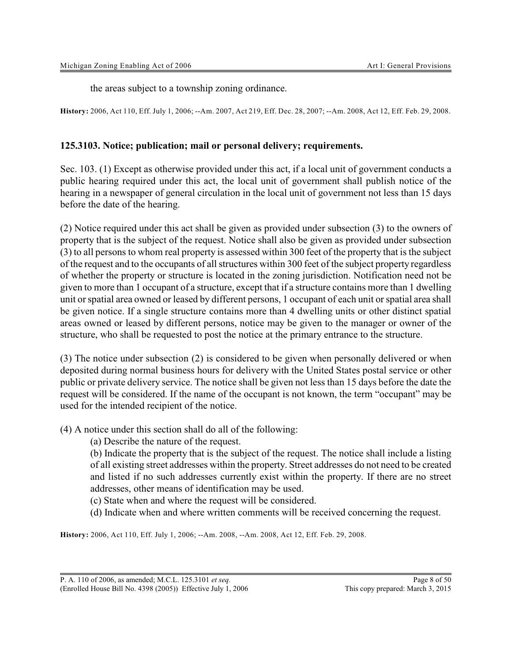the areas subject to a township zoning ordinance.

**History:** 2006, Act 110, Eff. July 1, 2006; --Am. 2007, Act 219, Eff. Dec. 28, 2007; --Am. 2008, Act 12, Eff. Feb. 29, 2008.

#### **125.3103. Notice; publication; mail or personal delivery; requirements.**

Sec. 103. (1) Except as otherwise provided under this act, if a local unit of government conducts a public hearing required under this act, the local unit of government shall publish notice of the hearing in a newspaper of general circulation in the local unit of government not less than 15 days before the date of the hearing.

(2) Notice required under this act shall be given as provided under subsection (3) to the owners of property that is the subject of the request. Notice shall also be given as provided under subsection (3) to all persons to whom real property is assessed within 300 feet of the property that is the subject of the request and to the occupants of all structures within 300 feet of the subject property regardless of whether the property or structure is located in the zoning jurisdiction. Notification need not be given to more than 1 occupant of a structure, except that if a structure contains more than 1 dwelling unit or spatial area owned or leased by different persons, 1 occupant of each unit or spatial area shall be given notice. If a single structure contains more than 4 dwelling units or other distinct spatial areas owned or leased by different persons, notice may be given to the manager or owner of the structure, who shall be requested to post the notice at the primary entrance to the structure.

(3) The notice under subsection (2) is considered to be given when personally delivered or when deposited during normal business hours for delivery with the United States postal service or other public or private delivery service. The notice shall be given not less than 15 days before the date the request will be considered. If the name of the occupant is not known, the term "occupant" may be used for the intended recipient of the notice.

(4) A notice under this section shall do all of the following:

(a) Describe the nature of the request.

(b) Indicate the property that is the subject of the request. The notice shall include a listing of all existing street addresses within the property. Street addresses do not need to be created and listed if no such addresses currently exist within the property. If there are no street addresses, other means of identification may be used.

(c) State when and where the request will be considered.

(d) Indicate when and where written comments will be received concerning the request.

**History:** 2006, Act 110, Eff. July 1, 2006; --Am. 2008, --Am. 2008, Act 12, Eff. Feb. 29, 2008.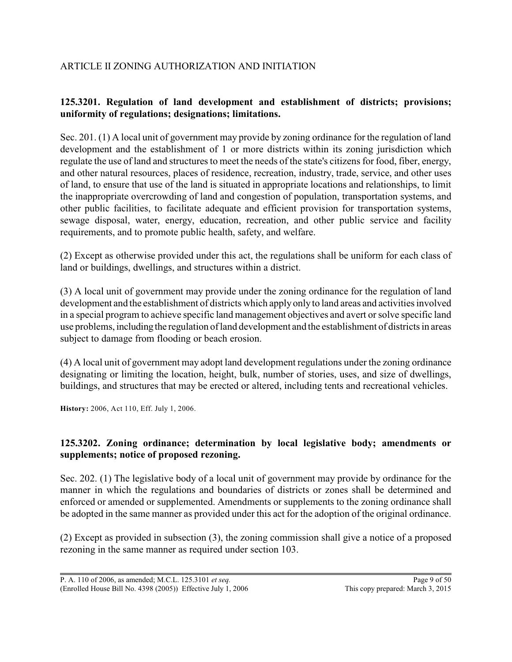# ARTICLE II ZONING AUTHORIZATION AND INITIATION

# **125.3201. Regulation of land development and establishment of districts; provisions; uniformity of regulations; designations; limitations.**

Sec. 201. (1) A local unit of government may provide by zoning ordinance for the regulation of land development and the establishment of 1 or more districts within its zoning jurisdiction which regulate the use of land and structures to meet the needs of the state's citizens for food, fiber, energy, and other natural resources, places of residence, recreation, industry, trade, service, and other uses of land, to ensure that use of the land is situated in appropriate locations and relationships, to limit the inappropriate overcrowding of land and congestion of population, transportation systems, and other public facilities, to facilitate adequate and efficient provision for transportation systems, sewage disposal, water, energy, education, recreation, and other public service and facility requirements, and to promote public health, safety, and welfare.

(2) Except as otherwise provided under this act, the regulations shall be uniform for each class of land or buildings, dwellings, and structures within a district.

(3) A local unit of government may provide under the zoning ordinance for the regulation of land development and the establishment of districts which apply only to land areas and activities involved in a special program to achieve specific land management objectives and avert or solve specific land use problems, including the regulation of land development and the establishment of districts in areas subject to damage from flooding or beach erosion.

(4) A local unit of government may adopt land development regulations under the zoning ordinance designating or limiting the location, height, bulk, number of stories, uses, and size of dwellings, buildings, and structures that may be erected or altered, including tents and recreational vehicles.

**History:** 2006, Act 110, Eff. July 1, 2006.

# **125.3202. Zoning ordinance; determination by local legislative body; amendments or supplements; notice of proposed rezoning.**

Sec. 202. (1) The legislative body of a local unit of government may provide by ordinance for the manner in which the regulations and boundaries of districts or zones shall be determined and enforced or amended or supplemented. Amendments or supplements to the zoning ordinance shall be adopted in the same manner as provided under this act for the adoption of the original ordinance.

(2) Except as provided in subsection (3), the zoning commission shall give a notice of a proposed rezoning in the same manner as required under section 103.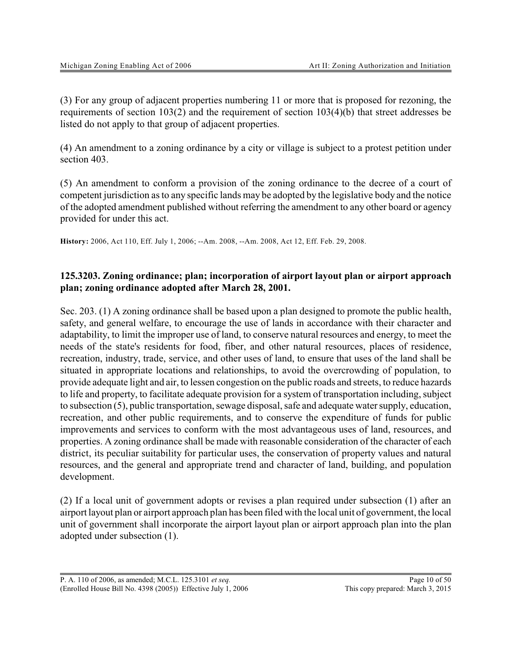(3) For any group of adjacent properties numbering 11 or more that is proposed for rezoning, the requirements of section 103(2) and the requirement of section 103(4)(b) that street addresses be listed do not apply to that group of adjacent properties.

(4) An amendment to a zoning ordinance by a city or village is subject to a protest petition under section 403.

(5) An amendment to conform a provision of the zoning ordinance to the decree of a court of competent jurisdiction as to any specific lands may be adopted by the legislative body and the notice of the adopted amendment published without referring the amendment to any other board or agency provided for under this act.

**History:** 2006, Act 110, Eff. July 1, 2006; --Am. 2008, --Am. 2008, Act 12, Eff. Feb. 29, 2008.

# **125.3203. Zoning ordinance; plan; incorporation of airport layout plan or airport approach plan; zoning ordinance adopted after March 28, 2001.**

Sec. 203. (1) A zoning ordinance shall be based upon a plan designed to promote the public health, safety, and general welfare, to encourage the use of lands in accordance with their character and adaptability, to limit the improper use of land, to conserve natural resources and energy, to meet the needs of the state's residents for food, fiber, and other natural resources, places of residence, recreation, industry, trade, service, and other uses of land, to ensure that uses of the land shall be situated in appropriate locations and relationships, to avoid the overcrowding of population, to provide adequate light and air, to lessen congestion on the public roads and streets, to reduce hazards to life and property, to facilitate adequate provision for a system of transportation including, subject to subsection (5), public transportation, sewage disposal, safe and adequate watersupply, education, recreation, and other public requirements, and to conserve the expenditure of funds for public improvements and services to conform with the most advantageous uses of land, resources, and properties. A zoning ordinance shall be made with reasonable consideration of the character of each district, its peculiar suitability for particular uses, the conservation of property values and natural resources, and the general and appropriate trend and character of land, building, and population development.

(2) If a local unit of government adopts or revises a plan required under subsection (1) after an airport layout plan or airport approach plan has been filed with the local unit of government, the local unit of government shall incorporate the airport layout plan or airport approach plan into the plan adopted under subsection (1).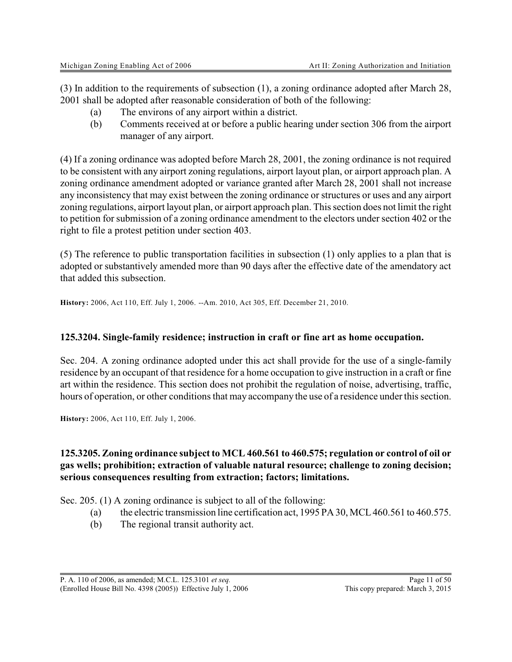(3) In addition to the requirements of subsection (1), a zoning ordinance adopted after March 28, 2001 shall be adopted after reasonable consideration of both of the following:

- (a) The environs of any airport within a district.
- (b) Comments received at or before a public hearing under section 306 from the airport manager of any airport.

(4) If a zoning ordinance was adopted before March 28, 2001, the zoning ordinance is not required to be consistent with any airport zoning regulations, airport layout plan, or airport approach plan. A zoning ordinance amendment adopted or variance granted after March 28, 2001 shall not increase any inconsistency that may exist between the zoning ordinance or structures or uses and any airport zoning regulations, airport layout plan, or airport approach plan. This section does not limit the right to petition for submission of a zoning ordinance amendment to the electors under section 402 or the right to file a protest petition under section 403.

(5) The reference to public transportation facilities in subsection (1) only applies to a plan that is adopted or substantively amended more than 90 days after the effective date of the amendatory act that added this subsection.

**History:** 2006, Act 110, Eff. July 1, 2006. --Am. 2010, Act 305, Eff. December 21, 2010.

#### **125.3204. Single-family residence; instruction in craft or fine art as home occupation.**

Sec. 204. A zoning ordinance adopted under this act shall provide for the use of a single-family residence by an occupant of that residence for a home occupation to give instruction in a craft or fine art within the residence. This section does not prohibit the regulation of noise, advertising, traffic, hours of operation, or other conditions that may accompany the use of a residence under this section.

**History:** 2006, Act 110, Eff. July 1, 2006.

# **125.3205. Zoning ordinance subject to MCL 460.561 to 460.575; regulation or control of oil or gas wells; prohibition; extraction of valuable natural resource; challenge to zoning decision; serious consequences resulting from extraction; factors; limitations.**

Sec. 205. (1) A zoning ordinance is subject to all of the following:

- (a) the electric transmission line certification act,  $1995 \text{ PA } 30$ , MCL 460.561 to 460.575.
- (b) The regional transit authority act.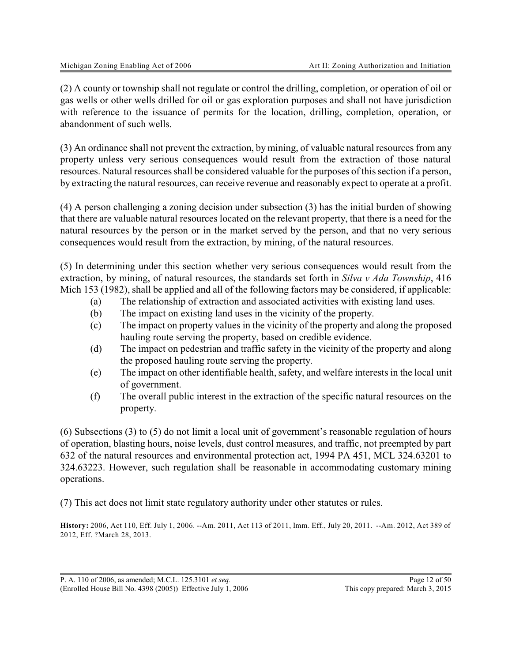(2) A county or township shall not regulate or control the drilling, completion, or operation of oil or gas wells or other wells drilled for oil or gas exploration purposes and shall not have jurisdiction with reference to the issuance of permits for the location, drilling, completion, operation, or abandonment of such wells.

(3) An ordinance shall not prevent the extraction, by mining, of valuable natural resources from any property unless very serious consequences would result from the extraction of those natural resources. Natural resources shall be considered valuable for the purposes of this section if a person, by extracting the natural resources, can receive revenue and reasonably expect to operate at a profit.

(4) A person challenging a zoning decision under subsection (3) has the initial burden of showing that there are valuable natural resources located on the relevant property, that there is a need for the natural resources by the person or in the market served by the person, and that no very serious consequences would result from the extraction, by mining, of the natural resources.

(5) In determining under this section whether very serious consequences would result from the extraction, by mining, of natural resources, the standards set forth in *Silva v Ada Township*, 416 Mich 153 (1982), shall be applied and all of the following factors may be considered, if applicable:

- (a) The relationship of extraction and associated activities with existing land uses.
- (b) The impact on existing land uses in the vicinity of the property.
- (c) The impact on property values in the vicinity of the property and along the proposed hauling route serving the property, based on credible evidence.
- (d) The impact on pedestrian and traffic safety in the vicinity of the property and along the proposed hauling route serving the property.
- (e) The impact on other identifiable health, safety, and welfare interests in the local unit of government.
- (f) The overall public interest in the extraction of the specific natural resources on the property.

(6) Subsections (3) to (5) do not limit a local unit of government's reasonable regulation of hours of operation, blasting hours, noise levels, dust control measures, and traffic, not preempted by part 632 of the natural resources and environmental protection act, 1994 PA 451, MCL 324.63201 to 324.63223. However, such regulation shall be reasonable in accommodating customary mining operations.

(7) This act does not limit state regulatory authority under other statutes or rules.

**History:** 2006, Act 110, Eff. July 1, 2006. --Am. 2011, Act 113 of 2011, Imm. Eff., July 20, 2011.--Am. 2012, Act 389 of 2012, Eff. ?March 28, 2013.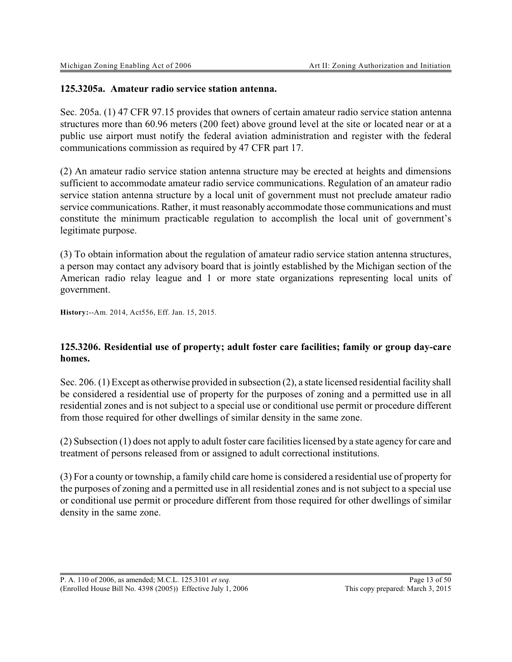#### **125.3205a. Amateur radio service station antenna.**

Sec. 205a. (1) 47 CFR 97.15 provides that owners of certain amateur radio service station antenna structures more than 60.96 meters (200 feet) above ground level at the site or located near or at a public use airport must notify the federal aviation administration and register with the federal communications commission as required by 47 CFR part 17.

(2) An amateur radio service station antenna structure may be erected at heights and dimensions sufficient to accommodate amateur radio service communications. Regulation of an amateur radio service station antenna structure by a local unit of government must not preclude amateur radio service communications. Rather, it must reasonably accommodate those communications and must constitute the minimum practicable regulation to accomplish the local unit of government's legitimate purpose.

(3) To obtain information about the regulation of amateur radio service station antenna structures, a person may contact any advisory board that is jointly established by the Michigan section of the American radio relay league and 1 or more state organizations representing local units of government.

**History:**--Am. 2014, Act556, Eff. Jan. 15, 2015.

#### **125.3206. Residential use of property; adult foster care facilities; family or group day-care homes.**

Sec. 206. (1) Except as otherwise provided in subsection (2), a state licensed residential facility shall be considered a residential use of property for the purposes of zoning and a permitted use in all residential zones and is not subject to a special use or conditional use permit or procedure different from those required for other dwellings of similar density in the same zone.

(2) Subsection (1) does not apply to adult foster care facilities licensed by a state agency for care and treatment of persons released from or assigned to adult correctional institutions.

(3) For a county or township, a family child care home is considered a residential use of property for the purposes of zoning and a permitted use in all residential zones and is not subject to a special use or conditional use permit or procedure different from those required for other dwellings of similar density in the same zone.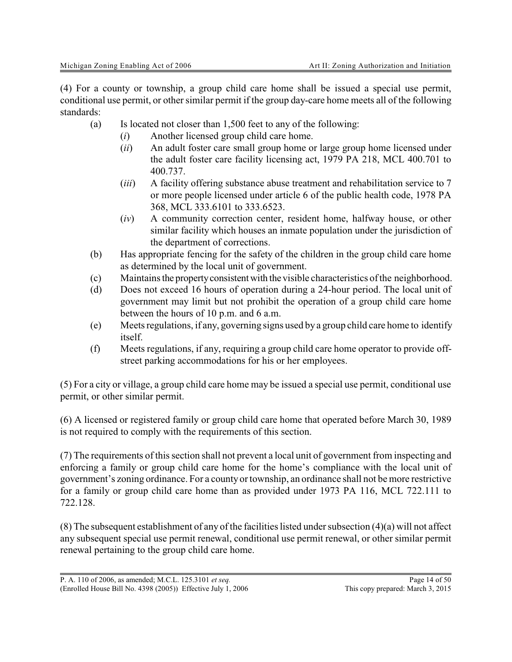(4) For a county or township, a group child care home shall be issued a special use permit, conditional use permit, or other similar permit if the group day-care home meets all of the following standards:

- (a) Is located not closer than 1,500 feet to any of the following:
	- (*i*) Another licensed group child care home.
	- (*ii*) An adult foster care small group home or large group home licensed under the adult foster care facility licensing act, 1979 PA 218, MCL 400.701 to 400.737.
	- (*iii*) A facility offering substance abuse treatment and rehabilitation service to 7 or more people licensed under article 6 of the public health code, 1978 PA 368, MCL 333.6101 to 333.6523.
	- (*iv*) A community correction center, resident home, halfway house, or other similar facility which houses an inmate population under the jurisdiction of the department of corrections.
- (b) Has appropriate fencing for the safety of the children in the group child care home as determined by the local unit of government.
- (c) Maintains the propertyconsistent with the visible characteristics of the neighborhood.
- (d) Does not exceed 16 hours of operation during a 24-hour period. The local unit of government may limit but not prohibit the operation of a group child care home between the hours of 10 p.m. and 6 a.m.
- (e) Meets regulations, if any, governing signs used by a group child care home to identify itself.
- (f) Meets regulations, if any, requiring a group child care home operator to provide offstreet parking accommodations for his or her employees.

(5) For a city or village, a group child care home may be issued a special use permit, conditional use permit, or other similar permit.

(6) A licensed or registered family or group child care home that operated before March 30, 1989 is not required to comply with the requirements of this section.

(7) The requirements of this section shall not prevent a local unit of government from inspecting and enforcing a family or group child care home for the home's compliance with the local unit of government's zoning ordinance. For a county or township, an ordinance shall not be more restrictive for a family or group child care home than as provided under 1973 PA 116, MCL 722.111 to 722.128.

(8) The subsequent establishment of any of the facilities listed under subsection (4)(a) will not affect any subsequent special use permit renewal, conditional use permit renewal, or other similar permit renewal pertaining to the group child care home.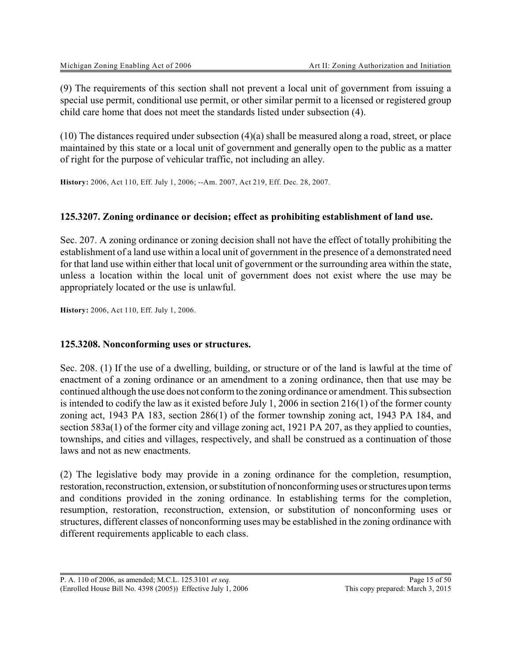(9) The requirements of this section shall not prevent a local unit of government from issuing a special use permit, conditional use permit, or other similar permit to a licensed or registered group child care home that does not meet the standards listed under subsection (4).

 $(10)$  The distances required under subsection  $(4)(a)$  shall be measured along a road, street, or place maintained by this state or a local unit of government and generally open to the public as a matter of right for the purpose of vehicular traffic, not including an alley.

**History:** 2006, Act 110, Eff. July 1, 2006; --Am. 2007, Act 219, Eff. Dec. 28, 2007.

#### **125.3207. Zoning ordinance or decision; effect as prohibiting establishment of land use.**

Sec. 207. A zoning ordinance or zoning decision shall not have the effect of totally prohibiting the establishment of a land use within a local unit of government in the presence of a demonstrated need for that land use within either that local unit of government or the surrounding area within the state, unless a location within the local unit of government does not exist where the use may be appropriately located or the use is unlawful.

**History:** 2006, Act 110, Eff. July 1, 2006.

#### **125.3208. Nonconforming uses or structures.**

Sec. 208. (1) If the use of a dwelling, building, or structure or of the land is lawful at the time of enactment of a zoning ordinance or an amendment to a zoning ordinance, then that use may be continued although the use does not conform to the zoning ordinance or amendment. This subsection is intended to codify the law as it existed before July 1, 2006 in section 216(1) of the former county zoning act, 1943 PA 183, section 286(1) of the former township zoning act, 1943 PA 184, and section 583a(1) of the former city and village zoning act, 1921 PA 207, as they applied to counties, townships, and cities and villages, respectively, and shall be construed as a continuation of those laws and not as new enactments.

(2) The legislative body may provide in a zoning ordinance for the completion, resumption, restoration, reconstruction, extension, or substitution of nonconforming uses or structures upon terms and conditions provided in the zoning ordinance. In establishing terms for the completion, resumption, restoration, reconstruction, extension, or substitution of nonconforming uses or structures, different classes of nonconforming uses may be established in the zoning ordinance with different requirements applicable to each class.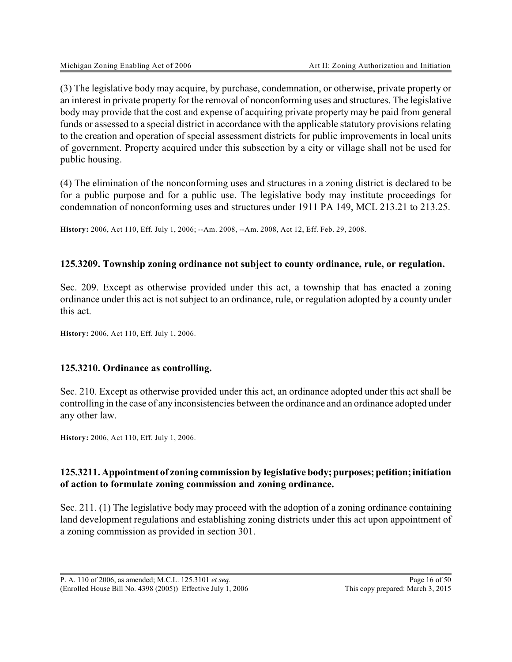(3) The legislative body may acquire, by purchase, condemnation, or otherwise, private property or an interest in private property for the removal of nonconforming uses and structures. The legislative body may provide that the cost and expense of acquiring private property may be paid from general funds or assessed to a special district in accordance with the applicable statutory provisions relating to the creation and operation of special assessment districts for public improvements in local units of government. Property acquired under this subsection by a city or village shall not be used for public housing.

(4) The elimination of the nonconforming uses and structures in a zoning district is declared to be for a public purpose and for a public use. The legislative body may institute proceedings for condemnation of nonconforming uses and structures under 1911 PA 149, MCL 213.21 to 213.25.

**History:** 2006, Act 110, Eff. July 1, 2006; --Am. 2008, --Am. 2008, Act 12, Eff. Feb. 29, 2008.

#### **125.3209. Township zoning ordinance not subject to county ordinance, rule, or regulation.**

Sec. 209. Except as otherwise provided under this act, a township that has enacted a zoning ordinance under this act is not subject to an ordinance, rule, or regulation adopted by a county under this act.

**History:** 2006, Act 110, Eff. July 1, 2006.

#### **125.3210. Ordinance as controlling.**

Sec. 210. Except as otherwise provided under this act, an ordinance adopted under this act shall be controlling in the case of any inconsistencies between the ordinance and an ordinance adopted under any other law.

**History:** 2006, Act 110, Eff. July 1, 2006.

# **125.3211. Appointment of zoning commission by legislative body;purposes;petition;initiation of action to formulate zoning commission and zoning ordinance.**

Sec. 211. (1) The legislative body may proceed with the adoption of a zoning ordinance containing land development regulations and establishing zoning districts under this act upon appointment of a zoning commission as provided in section 301.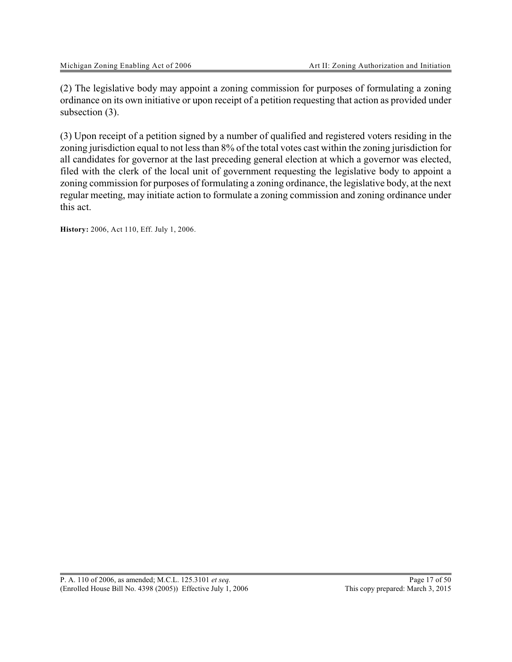(2) The legislative body may appoint a zoning commission for purposes of formulating a zoning ordinance on its own initiative or upon receipt of a petition requesting that action as provided under subsection (3).

(3) Upon receipt of a petition signed by a number of qualified and registered voters residing in the zoning jurisdiction equal to not less than 8% of the total votes cast within the zoning jurisdiction for all candidates for governor at the last preceding general election at which a governor was elected, filed with the clerk of the local unit of government requesting the legislative body to appoint a zoning commission for purposes of formulating a zoning ordinance, the legislative body, at the next regular meeting, may initiate action to formulate a zoning commission and zoning ordinance under this act.

**History:** 2006, Act 110, Eff. July 1, 2006.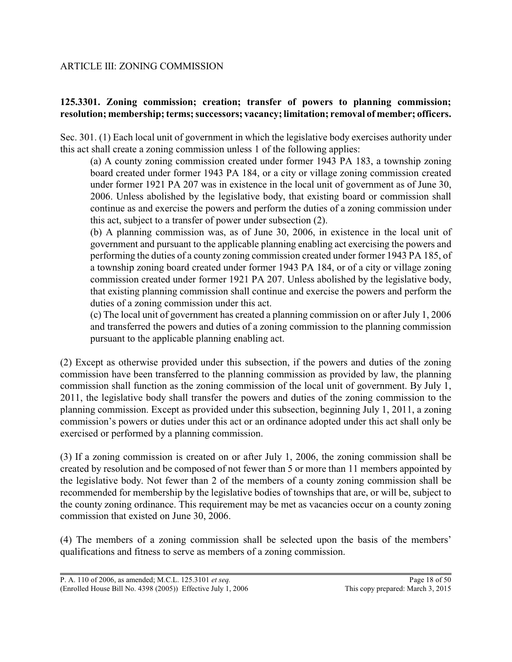### ARTICLE III: ZONING COMMISSION

# **125.3301. Zoning commission; creation; transfer of powers to planning commission; resolution; membership; terms; successors; vacancy; limitation; removal of member; officers.**

Sec. 301. (1) Each local unit of government in which the legislative body exercises authority under this act shall create a zoning commission unless 1 of the following applies:

(a) A county zoning commission created under former 1943 PA 183, a township zoning board created under former 1943 PA 184, or a city or village zoning commission created under former 1921 PA 207 was in existence in the local unit of government as of June 30, 2006. Unless abolished by the legislative body, that existing board or commission shall continue as and exercise the powers and perform the duties of a zoning commission under this act, subject to a transfer of power under subsection (2).

(b) A planning commission was, as of June 30, 2006, in existence in the local unit of government and pursuant to the applicable planning enabling act exercising the powers and performing the duties of a county zoning commission created under former 1943 PA 185, of a township zoning board created under former 1943 PA 184, or of a city or village zoning commission created under former 1921 PA 207. Unless abolished by the legislative body, that existing planning commission shall continue and exercise the powers and perform the duties of a zoning commission under this act.

(c) The local unit of government has created a planning commission on or after July 1, 2006 and transferred the powers and duties of a zoning commission to the planning commission pursuant to the applicable planning enabling act.

(2) Except as otherwise provided under this subsection, if the powers and duties of the zoning commission have been transferred to the planning commission as provided by law, the planning commission shall function as the zoning commission of the local unit of government. By July 1, 2011, the legislative body shall transfer the powers and duties of the zoning commission to the planning commission. Except as provided under this subsection, beginning July 1, 2011, a zoning commission's powers or duties under this act or an ordinance adopted under this act shall only be exercised or performed by a planning commission.

(3) If a zoning commission is created on or after July 1, 2006, the zoning commission shall be created by resolution and be composed of not fewer than 5 or more than 11 members appointed by the legislative body. Not fewer than 2 of the members of a county zoning commission shall be recommended for membership by the legislative bodies of townships that are, or will be, subject to the county zoning ordinance. This requirement may be met as vacancies occur on a county zoning commission that existed on June 30, 2006.

(4) The members of a zoning commission shall be selected upon the basis of the members' qualifications and fitness to serve as members of a zoning commission.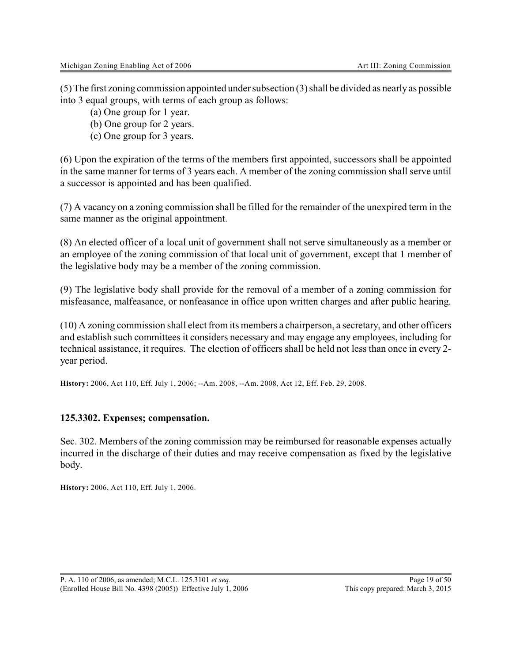(5) The first zoning commission appointed under subsection (3) shall be divided as nearly as possible into 3 equal groups, with terms of each group as follows:

(a) One group for 1 year.

(b) One group for 2 years.

(c) One group for 3 years.

(6) Upon the expiration of the terms of the members first appointed, successors shall be appointed in the same manner for terms of 3 years each. A member of the zoning commission shall serve until a successor is appointed and has been qualified.

(7) A vacancy on a zoning commission shall be filled for the remainder of the unexpired term in the same manner as the original appointment.

(8) An elected officer of a local unit of government shall not serve simultaneously as a member or an employee of the zoning commission of that local unit of government, except that 1 member of the legislative body may be a member of the zoning commission.

(9) The legislative body shall provide for the removal of a member of a zoning commission for misfeasance, malfeasance, or nonfeasance in office upon written charges and after public hearing.

(10) A zoning commission shall elect from its members a chairperson, a secretary, and other officers and establish such committees it considers necessary and may engage any employees, including for technical assistance, it requires. The election of officers shall be held not less than once in every 2 year period.

**History:** 2006, Act 110, Eff. July 1, 2006; --Am. 2008, --Am. 2008, Act 12, Eff. Feb. 29, 2008.

#### **125.3302. Expenses; compensation.**

Sec. 302. Members of the zoning commission may be reimbursed for reasonable expenses actually incurred in the discharge of their duties and may receive compensation as fixed by the legislative body.

**History:** 2006, Act 110, Eff. July 1, 2006.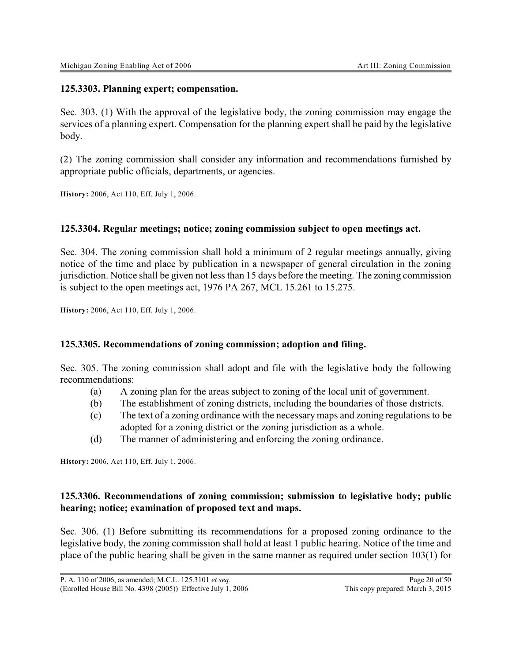#### **125.3303. Planning expert; compensation.**

Sec. 303. (1) With the approval of the legislative body, the zoning commission may engage the services of a planning expert. Compensation for the planning expert shall be paid by the legislative body.

(2) The zoning commission shall consider any information and recommendations furnished by appropriate public officials, departments, or agencies.

**History:** 2006, Act 110, Eff. July 1, 2006.

#### **125.3304. Regular meetings; notice; zoning commission subject to open meetings act.**

Sec. 304. The zoning commission shall hold a minimum of 2 regular meetings annually, giving notice of the time and place by publication in a newspaper of general circulation in the zoning jurisdiction. Notice shall be given not less than 15 days before the meeting. The zoning commission is subject to the open meetings act, 1976 PA 267, MCL 15.261 to 15.275.

**History:** 2006, Act 110, Eff. July 1, 2006.

#### **125.3305. Recommendations of zoning commission; adoption and filing.**

Sec. 305. The zoning commission shall adopt and file with the legislative body the following recommendations:

- (a) A zoning plan for the areas subject to zoning of the local unit of government.
- (b) The establishment of zoning districts, including the boundaries of those districts.
- (c) The text of a zoning ordinance with the necessary maps and zoning regulations to be adopted for a zoning district or the zoning jurisdiction as a whole.
- (d) The manner of administering and enforcing the zoning ordinance.

**History:** 2006, Act 110, Eff. July 1, 2006.

#### **125.3306. Recommendations of zoning commission; submission to legislative body; public hearing; notice; examination of proposed text and maps.**

Sec. 306. (1) Before submitting its recommendations for a proposed zoning ordinance to the legislative body, the zoning commission shall hold at least 1 public hearing. Notice of the time and place of the public hearing shall be given in the same manner as required under section 103(1) for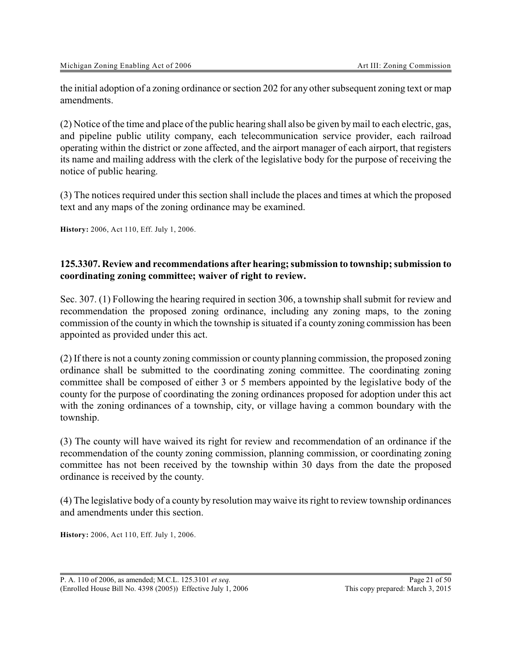the initial adoption of a zoning ordinance or section 202 for any other subsequent zoning text or map amendments.

(2) Notice of the time and place of the public hearing shall also be given bymail to each electric, gas, and pipeline public utility company, each telecommunication service provider, each railroad operating within the district or zone affected, and the airport manager of each airport, that registers its name and mailing address with the clerk of the legislative body for the purpose of receiving the notice of public hearing.

(3) The notices required under this section shall include the places and times at which the proposed text and any maps of the zoning ordinance may be examined.

**History:** 2006, Act 110, Eff. July 1, 2006.

#### **125.3307. Review and recommendations after hearing; submission to township; submission to coordinating zoning committee; waiver of right to review.**

Sec. 307. (1) Following the hearing required in section 306, a township shall submit for review and recommendation the proposed zoning ordinance, including any zoning maps, to the zoning commission of the county in which the township is situated if a county zoning commission has been appointed as provided under this act.

(2) If there is not a county zoning commission or county planning commission, the proposed zoning ordinance shall be submitted to the coordinating zoning committee. The coordinating zoning committee shall be composed of either 3 or 5 members appointed by the legislative body of the county for the purpose of coordinating the zoning ordinances proposed for adoption under this act with the zoning ordinances of a township, city, or village having a common boundary with the township.

(3) The county will have waived its right for review and recommendation of an ordinance if the recommendation of the county zoning commission, planning commission, or coordinating zoning committee has not been received by the township within 30 days from the date the proposed ordinance is received by the county.

(4) The legislative body of a county by resolution maywaive its right to review township ordinances and amendments under this section.

**History:** 2006, Act 110, Eff. July 1, 2006.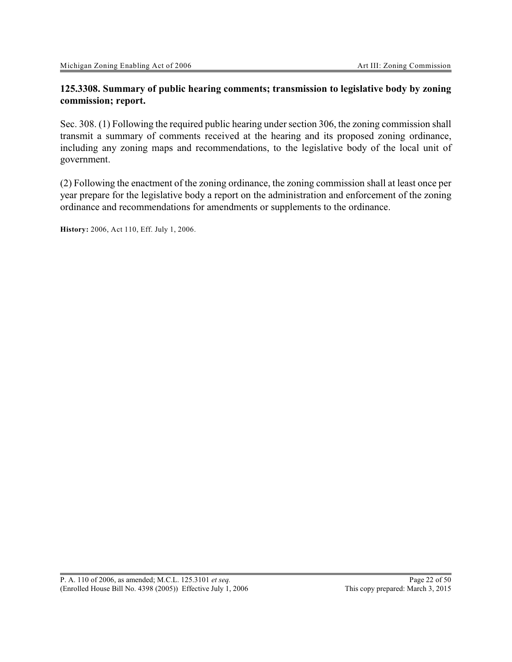### **125.3308. Summary of public hearing comments; transmission to legislative body by zoning commission; report.**

Sec. 308. (1) Following the required public hearing under section 306, the zoning commission shall transmit a summary of comments received at the hearing and its proposed zoning ordinance, including any zoning maps and recommendations, to the legislative body of the local unit of government.

(2) Following the enactment of the zoning ordinance, the zoning commission shall at least once per year prepare for the legislative body a report on the administration and enforcement of the zoning ordinance and recommendations for amendments or supplements to the ordinance.

**History:** 2006, Act 110, Eff. July 1, 2006.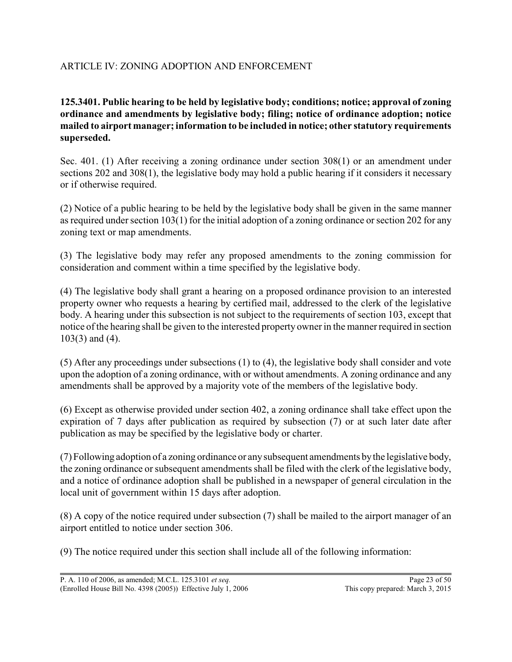# ARTICLE IV: ZONING ADOPTION AND ENFORCEMENT

**125.3401. Public hearing to be held by legislative body; conditions; notice; approval of zoning ordinance and amendments by legislative body; filing; notice of ordinance adoption; notice mailed to airport manager; information to be included in notice; other statutory requirements superseded.**

Sec. 401. (1) After receiving a zoning ordinance under section 308(1) or an amendment under sections 202 and 308(1), the legislative body may hold a public hearing if it considers it necessary or if otherwise required.

(2) Notice of a public hearing to be held by the legislative body shall be given in the same manner as required under section 103(1) for the initial adoption of a zoning ordinance or section 202 for any zoning text or map amendments.

(3) The legislative body may refer any proposed amendments to the zoning commission for consideration and comment within a time specified by the legislative body.

(4) The legislative body shall grant a hearing on a proposed ordinance provision to an interested property owner who requests a hearing by certified mail, addressed to the clerk of the legislative body. A hearing under this subsection is not subject to the requirements of section 103, except that notice of the hearing shall be given to the interested property owner in the manner required in section 103(3) and (4).

(5) After any proceedings under subsections (1) to (4), the legislative body shall consider and vote upon the adoption of a zoning ordinance, with or without amendments. A zoning ordinance and any amendments shall be approved by a majority vote of the members of the legislative body.

(6) Except as otherwise provided under section 402, a zoning ordinance shall take effect upon the expiration of 7 days after publication as required by subsection (7) or at such later date after publication as may be specified by the legislative body or charter.

(7) Following adoption of a zoning ordinance or anysubsequent amendments bythe legislative body, the zoning ordinance or subsequent amendments shall be filed with the clerk of the legislative body, and a notice of ordinance adoption shall be published in a newspaper of general circulation in the local unit of government within 15 days after adoption.

(8) A copy of the notice required under subsection (7) shall be mailed to the airport manager of an airport entitled to notice under section 306.

(9) The notice required under this section shall include all of the following information: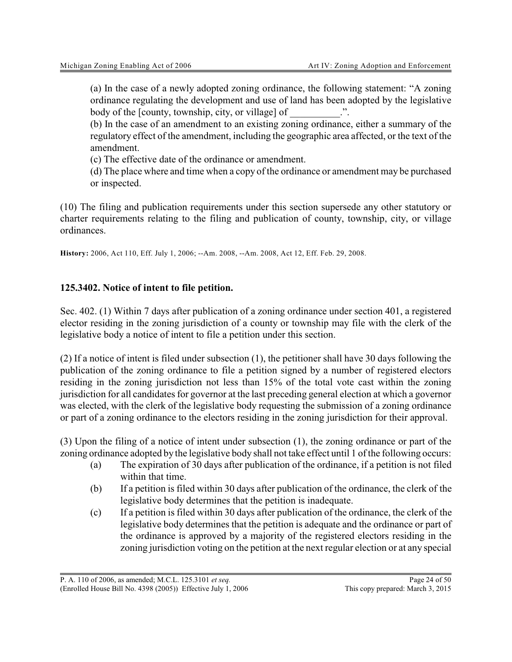(a) In the case of a newly adopted zoning ordinance, the following statement: "A zoning ordinance regulating the development and use of land has been adopted by the legislative body of the [county, township, city, or village] of

(b) In the case of an amendment to an existing zoning ordinance, either a summary of the regulatory effect of the amendment, including the geographic area affected, or the text of the amendment.

(c) The effective date of the ordinance or amendment.

(d) The place where and time when a copy of the ordinance or amendment may be purchased or inspected.

(10) The filing and publication requirements under this section supersede any other statutory or charter requirements relating to the filing and publication of county, township, city, or village ordinances.

**History:** 2006, Act 110, Eff. July 1, 2006; --Am. 2008, --Am. 2008, Act 12, Eff. Feb. 29, 2008.

# **125.3402. Notice of intent to file petition.**

Sec. 402. (1) Within 7 days after publication of a zoning ordinance under section 401, a registered elector residing in the zoning jurisdiction of a county or township may file with the clerk of the legislative body a notice of intent to file a petition under this section.

(2) If a notice of intent is filed under subsection (1), the petitioner shall have 30 days following the publication of the zoning ordinance to file a petition signed by a number of registered electors residing in the zoning jurisdiction not less than 15% of the total vote cast within the zoning jurisdiction for all candidates for governor at the last preceding general election at which a governor was elected, with the clerk of the legislative body requesting the submission of a zoning ordinance or part of a zoning ordinance to the electors residing in the zoning jurisdiction for their approval.

(3) Upon the filing of a notice of intent under subsection (1), the zoning ordinance or part of the zoning ordinance adopted by the legislative body shall not take effect until 1 of the following occurs:

- (a) The expiration of 30 days after publication of the ordinance, if a petition is not filed within that time.
- (b) If a petition is filed within 30 days after publication of the ordinance, the clerk of the legislative body determines that the petition is inadequate.
- (c) If a petition is filed within 30 days after publication of the ordinance, the clerk of the legislative body determines that the petition is adequate and the ordinance or part of the ordinance is approved by a majority of the registered electors residing in the zoning jurisdiction voting on the petition at the next regular election or at any special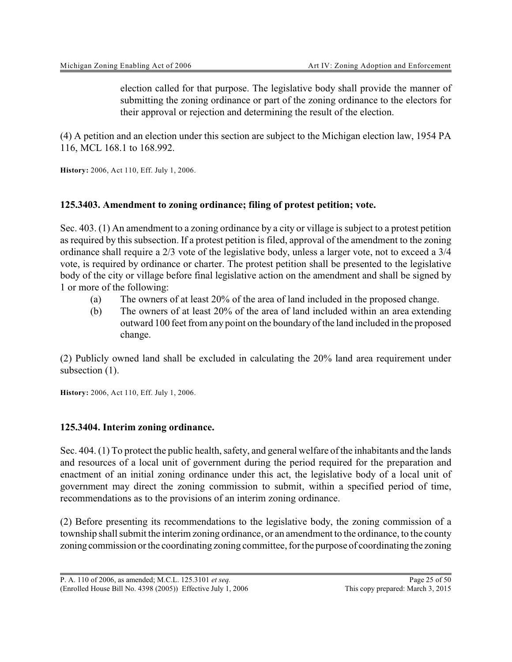election called for that purpose. The legislative body shall provide the manner of submitting the zoning ordinance or part of the zoning ordinance to the electors for their approval or rejection and determining the result of the election.

(4) A petition and an election under this section are subject to the Michigan election law, 1954 PA 116, MCL 168.1 to 168.992.

**History:** 2006, Act 110, Eff. July 1, 2006.

#### **125.3403. Amendment to zoning ordinance; filing of protest petition; vote.**

Sec. 403. (1) An amendment to a zoning ordinance by a city or village is subject to a protest petition as required by this subsection. If a protest petition is filed, approval of the amendment to the zoning ordinance shall require a 2/3 vote of the legislative body, unless a larger vote, not to exceed a 3/4 vote, is required by ordinance or charter. The protest petition shall be presented to the legislative body of the city or village before final legislative action on the amendment and shall be signed by 1 or more of the following:

- (a) The owners of at least 20% of the area of land included in the proposed change.
- (b) The owners of at least 20% of the area of land included within an area extending outward 100 feet from any point on the boundary of the land included in the proposed change.

(2) Publicly owned land shall be excluded in calculating the 20% land area requirement under subsection  $(1)$ .

**History:** 2006, Act 110, Eff. July 1, 2006.

#### **125.3404. Interim zoning ordinance.**

Sec. 404. (1) To protect the public health, safety, and general welfare of the inhabitants and the lands and resources of a local unit of government during the period required for the preparation and enactment of an initial zoning ordinance under this act, the legislative body of a local unit of government may direct the zoning commission to submit, within a specified period of time, recommendations as to the provisions of an interim zoning ordinance.

(2) Before presenting its recommendations to the legislative body, the zoning commission of a township shall submit the interim zoning ordinance, or an amendment to the ordinance, to the county zoning commission or the coordinating zoning committee, for the purpose of coordinating the zoning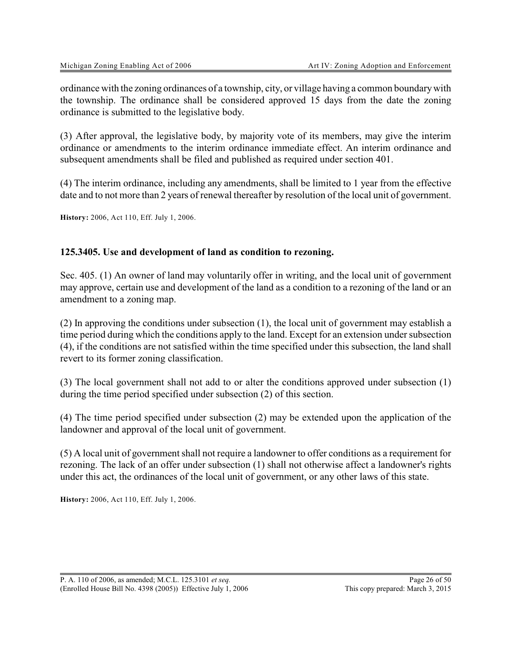ordinance with the zoning ordinances of a township, city, or village having a common boundarywith the township. The ordinance shall be considered approved 15 days from the date the zoning ordinance is submitted to the legislative body.

(3) After approval, the legislative body, by majority vote of its members, may give the interim ordinance or amendments to the interim ordinance immediate effect. An interim ordinance and subsequent amendments shall be filed and published as required under section 401.

(4) The interim ordinance, including any amendments, shall be limited to 1 year from the effective date and to not more than 2 years of renewal thereafter by resolution of the local unit of government.

**History:** 2006, Act 110, Eff. July 1, 2006.

#### **125.3405. Use and development of land as condition to rezoning.**

Sec. 405. (1) An owner of land may voluntarily offer in writing, and the local unit of government may approve, certain use and development of the land as a condition to a rezoning of the land or an amendment to a zoning map.

(2) In approving the conditions under subsection (1), the local unit of government may establish a time period during which the conditions apply to the land. Except for an extension under subsection (4), if the conditions are not satisfied within the time specified under this subsection, the land shall revert to its former zoning classification.

(3) The local government shall not add to or alter the conditions approved under subsection (1) during the time period specified under subsection (2) of this section.

(4) The time period specified under subsection (2) may be extended upon the application of the landowner and approval of the local unit of government.

(5) A local unit of government shall not require a landowner to offer conditions as a requirement for rezoning. The lack of an offer under subsection (1) shall not otherwise affect a landowner's rights under this act, the ordinances of the local unit of government, or any other laws of this state.

**History:** 2006, Act 110, Eff. July 1, 2006.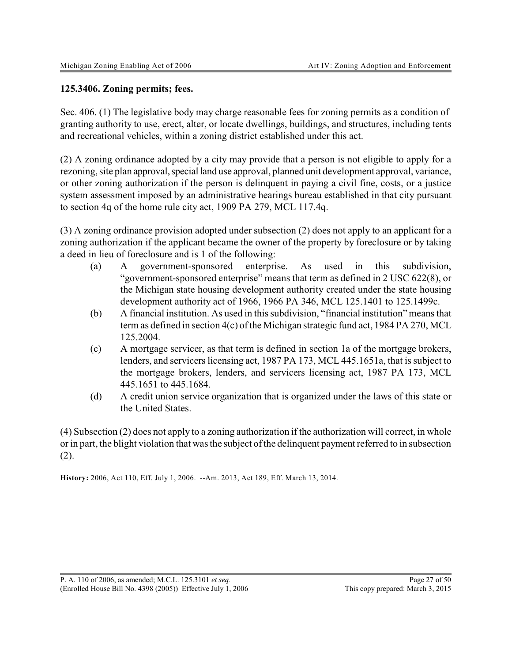#### **125.3406. Zoning permits; fees.**

Sec. 406. (1) The legislative body may charge reasonable fees for zoning permits as a condition of granting authority to use, erect, alter, or locate dwellings, buildings, and structures, including tents and recreational vehicles, within a zoning district established under this act.

(2) A zoning ordinance adopted by a city may provide that a person is not eligible to apply for a rezoning, site plan approval, special land use approval, planned unit development approval, variance, or other zoning authorization if the person is delinquent in paying a civil fine, costs, or a justice system assessment imposed by an administrative hearings bureau established in that city pursuant to section 4q of the home rule city act, 1909 PA 279, MCL 117.4q.

(3) A zoning ordinance provision adopted under subsection (2) does not apply to an applicant for a zoning authorization if the applicant became the owner of the property by foreclosure or by taking a deed in lieu of foreclosure and is 1 of the following:

- (a) A government-sponsored enterprise. As used in this subdivision, "government-sponsored enterprise" means that term as defined in 2 USC 622(8), or the Michigan state housing development authority created under the state housing development authority act of 1966, 1966 PA 346, MCL 125.1401 to 125.1499c.
- (b) A financial institution. As used in this subdivision, "financial institution" means that term as defined in section 4(c) of the Michigan strategic fund act, 1984 PA 270, MCL 125.2004.
- (c) A mortgage servicer, as that term is defined in section 1a of the mortgage brokers, lenders, and servicers licensing act, 1987 PA 173, MCL 445.1651a, that is subject to the mortgage brokers, lenders, and servicers licensing act, 1987 PA 173, MCL 445.1651 to 445.1684.
- (d) A credit union service organization that is organized under the laws of this state or the United States.

(4) Subsection (2) does not apply to a zoning authorization if the authorization will correct, in whole or in part, the blight violation that was the subject of the delinquent payment referred to in subsection (2).

**History:** 2006, Act 110, Eff. July 1, 2006. --Am. 2013, Act 189, Eff. March 13, 2014.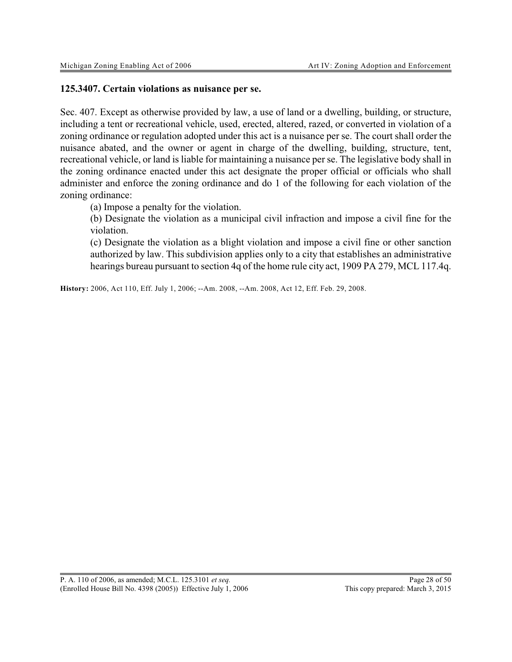#### **125.3407. Certain violations as nuisance per se.**

Sec. 407. Except as otherwise provided by law, a use of land or a dwelling, building, or structure, including a tent or recreational vehicle, used, erected, altered, razed, or converted in violation of a zoning ordinance or regulation adopted under this act is a nuisance per se. The court shall order the nuisance abated, and the owner or agent in charge of the dwelling, building, structure, tent, recreational vehicle, or land is liable for maintaining a nuisance per se. The legislative body shall in the zoning ordinance enacted under this act designate the proper official or officials who shall administer and enforce the zoning ordinance and do 1 of the following for each violation of the zoning ordinance:

(a) Impose a penalty for the violation.

(b) Designate the violation as a municipal civil infraction and impose a civil fine for the violation.

(c) Designate the violation as a blight violation and impose a civil fine or other sanction authorized by law. This subdivision applies only to a city that establishes an administrative hearings bureau pursuant to section 4q of the home rule city act, 1909 PA 279, MCL 117.4q.

**History:** 2006, Act 110, Eff. July 1, 2006; --Am. 2008, --Am. 2008, Act 12, Eff. Feb. 29, 2008.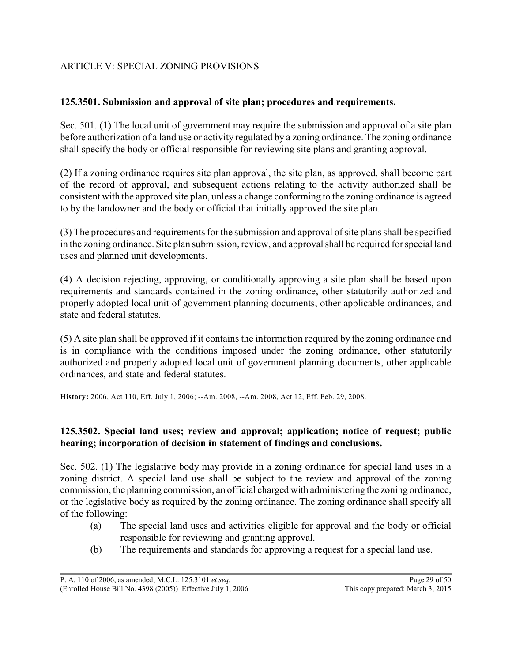# ARTICLE V: SPECIAL ZONING PROVISIONS

# **125.3501. Submission and approval of site plan; procedures and requirements.**

Sec. 501. (1) The local unit of government may require the submission and approval of a site plan before authorization of a land use or activity regulated by a zoning ordinance. The zoning ordinance shall specify the body or official responsible for reviewing site plans and granting approval.

(2) If a zoning ordinance requires site plan approval, the site plan, as approved, shall become part of the record of approval, and subsequent actions relating to the activity authorized shall be consistent with the approved site plan, unless a change conforming to the zoning ordinance is agreed to by the landowner and the body or official that initially approved the site plan.

(3) The procedures and requirements for the submission and approval of site plans shall be specified in the zoning ordinance. Site plan submission, review, and approval shall be required for special land uses and planned unit developments.

(4) A decision rejecting, approving, or conditionally approving a site plan shall be based upon requirements and standards contained in the zoning ordinance, other statutorily authorized and properly adopted local unit of government planning documents, other applicable ordinances, and state and federal statutes.

(5) A site plan shall be approved if it contains the information required by the zoning ordinance and is in compliance with the conditions imposed under the zoning ordinance, other statutorily authorized and properly adopted local unit of government planning documents, other applicable ordinances, and state and federal statutes.

**History:** 2006, Act 110, Eff. July 1, 2006; --Am. 2008, --Am. 2008, Act 12, Eff. Feb. 29, 2008.

# **125.3502. Special land uses; review and approval; application; notice of request; public hearing; incorporation of decision in statement of findings and conclusions.**

Sec. 502. (1) The legislative body may provide in a zoning ordinance for special land uses in a zoning district. A special land use shall be subject to the review and approval of the zoning commission, the planning commission, an official charged with administering the zoning ordinance, or the legislative body as required by the zoning ordinance. The zoning ordinance shall specify all of the following:

- (a) The special land uses and activities eligible for approval and the body or official responsible for reviewing and granting approval.
- (b) The requirements and standards for approving a request for a special land use.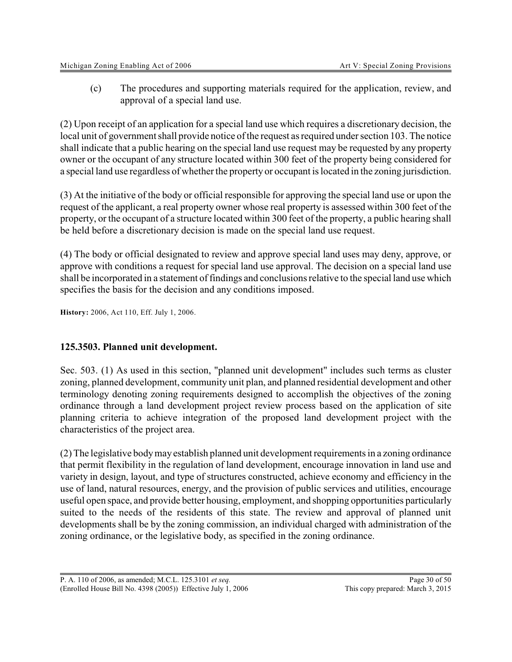(c) The procedures and supporting materials required for the application, review, and approval of a special land use.

(2) Upon receipt of an application for a special land use which requires a discretionary decision, the local unit of government shall provide notice of the request as required under section 103. The notice shall indicate that a public hearing on the special land use request may be requested by any property owner or the occupant of any structure located within 300 feet of the property being considered for a special land use regardless of whether the property or occupant is located in the zoning jurisdiction.

(3) At the initiative of the body or official responsible for approving the special land use or upon the request of the applicant, a real property owner whose real property is assessed within 300 feet of the property, or the occupant of a structure located within 300 feet of the property, a public hearing shall be held before a discretionary decision is made on the special land use request.

(4) The body or official designated to review and approve special land uses may deny, approve, or approve with conditions a request for special land use approval. The decision on a special land use shall be incorporated in a statement of findings and conclusions relative to the special land use which specifies the basis for the decision and any conditions imposed.

**History:** 2006, Act 110, Eff. July 1, 2006.

# **125.3503. Planned unit development.**

Sec. 503. (1) As used in this section, "planned unit development" includes such terms as cluster zoning, planned development, community unit plan, and planned residential development and other terminology denoting zoning requirements designed to accomplish the objectives of the zoning ordinance through a land development project review process based on the application of site planning criteria to achieve integration of the proposed land development project with the characteristics of the project area.

(2) The legislative bodymay establish planned unit development requirements in a zoning ordinance that permit flexibility in the regulation of land development, encourage innovation in land use and variety in design, layout, and type of structures constructed, achieve economy and efficiency in the use of land, natural resources, energy, and the provision of public services and utilities, encourage useful open space, and provide better housing, employment, and shopping opportunities particularly suited to the needs of the residents of this state. The review and approval of planned unit developments shall be by the zoning commission, an individual charged with administration of the zoning ordinance, or the legislative body, as specified in the zoning ordinance.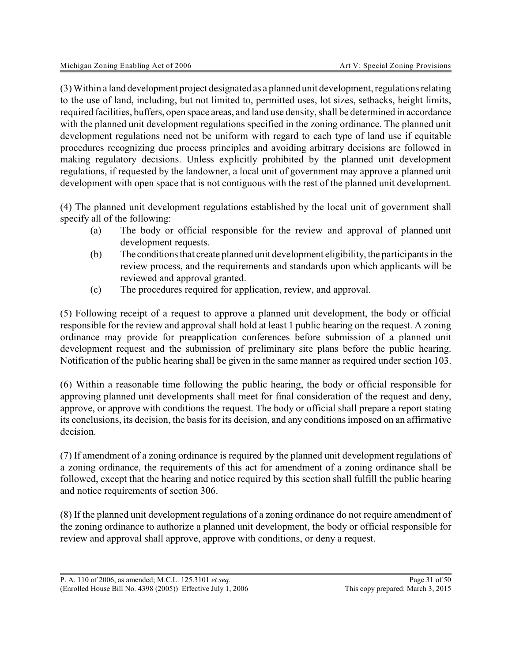(3) Within a land development project designated as a planned unit development, regulations relating to the use of land, including, but not limited to, permitted uses, lot sizes, setbacks, height limits, required facilities, buffers, open space areas, and land use density, shall be determined in accordance with the planned unit development regulations specified in the zoning ordinance. The planned unit development regulations need not be uniform with regard to each type of land use if equitable procedures recognizing due process principles and avoiding arbitrary decisions are followed in making regulatory decisions. Unless explicitly prohibited by the planned unit development regulations, if requested by the landowner, a local unit of government may approve a planned unit development with open space that is not contiguous with the rest of the planned unit development.

(4) The planned unit development regulations established by the local unit of government shall specify all of the following:

- (a) The body or official responsible for the review and approval of planned unit development requests.
- (b) The conditions that create planned unit development eligibility, the participants in the review process, and the requirements and standards upon which applicants will be reviewed and approval granted.
- (c) The procedures required for application, review, and approval.

(5) Following receipt of a request to approve a planned unit development, the body or official responsible for the review and approval shall hold at least 1 public hearing on the request. A zoning ordinance may provide for preapplication conferences before submission of a planned unit development request and the submission of preliminary site plans before the public hearing. Notification of the public hearing shall be given in the same manner as required under section 103.

(6) Within a reasonable time following the public hearing, the body or official responsible for approving planned unit developments shall meet for final consideration of the request and deny, approve, or approve with conditions the request. The body or official shall prepare a report stating its conclusions, its decision, the basis for its decision, and any conditions imposed on an affirmative decision.

(7) If amendment of a zoning ordinance is required by the planned unit development regulations of a zoning ordinance, the requirements of this act for amendment of a zoning ordinance shall be followed, except that the hearing and notice required by this section shall fulfill the public hearing and notice requirements of section 306.

(8) If the planned unit development regulations of a zoning ordinance do not require amendment of the zoning ordinance to authorize a planned unit development, the body or official responsible for review and approval shall approve, approve with conditions, or deny a request.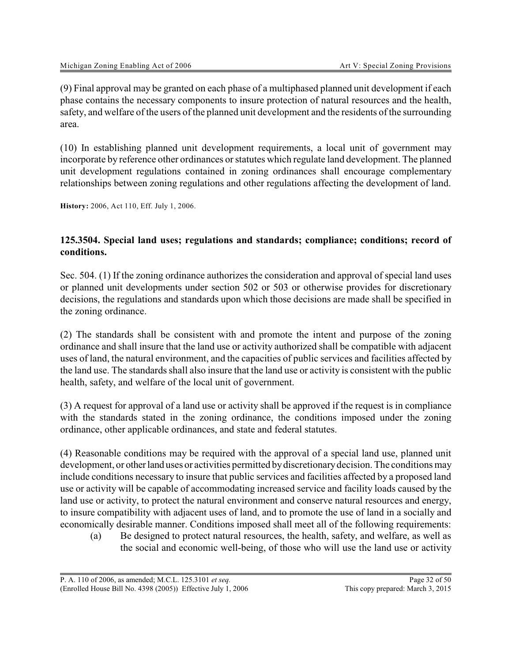(9) Final approval may be granted on each phase of a multiphased planned unit development if each phase contains the necessary components to insure protection of natural resources and the health, safety, and welfare of the users of the planned unit development and the residents of the surrounding area.

(10) In establishing planned unit development requirements, a local unit of government may incorporate by reference other ordinances or statutes which regulate land development. The planned unit development regulations contained in zoning ordinances shall encourage complementary relationships between zoning regulations and other regulations affecting the development of land.

**History:** 2006, Act 110, Eff. July 1, 2006.

#### **125.3504. Special land uses; regulations and standards; compliance; conditions; record of conditions.**

Sec. 504. (1) If the zoning ordinance authorizes the consideration and approval of special land uses or planned unit developments under section 502 or 503 or otherwise provides for discretionary decisions, the regulations and standards upon which those decisions are made shall be specified in the zoning ordinance.

(2) The standards shall be consistent with and promote the intent and purpose of the zoning ordinance and shall insure that the land use or activity authorized shall be compatible with adjacent uses of land, the natural environment, and the capacities of public services and facilities affected by the land use. The standards shall also insure that the land use or activity is consistent with the public health, safety, and welfare of the local unit of government.

(3) A request for approval of a land use or activity shall be approved if the request is in compliance with the standards stated in the zoning ordinance, the conditions imposed under the zoning ordinance, other applicable ordinances, and state and federal statutes.

(4) Reasonable conditions may be required with the approval of a special land use, planned unit development, or other land uses or activities permitted by discretionary decision. The conditions may include conditions necessary to insure that public services and facilities affected by a proposed land use or activity will be capable of accommodating increased service and facility loads caused by the land use or activity, to protect the natural environment and conserve natural resources and energy, to insure compatibility with adjacent uses of land, and to promote the use of land in a socially and economically desirable manner. Conditions imposed shall meet all of the following requirements:

(a) Be designed to protect natural resources, the health, safety, and welfare, as well as the social and economic well-being, of those who will use the land use or activity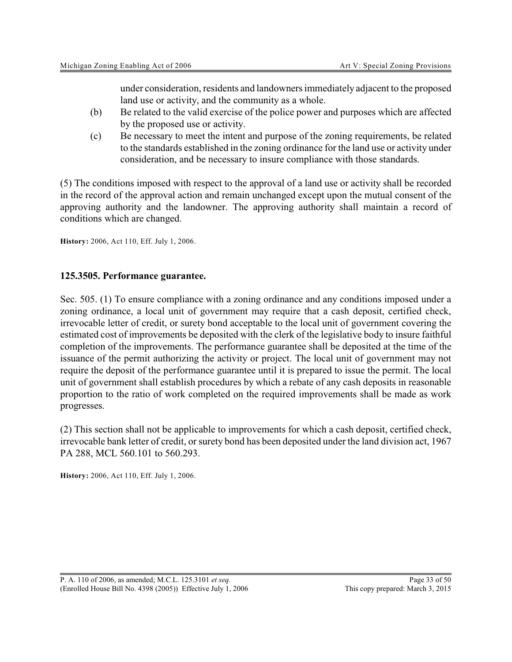under consideration, residents and landowners immediately adjacent to the proposed land use or activity, and the community as a whole.

- (b) Be related to the valid exercise of the police power and purposes which are affected by the proposed use or activity.
- (c) Be necessary to meet the intent and purpose of the zoning requirements, be related to the standards established in the zoning ordinance for the land use or activity under consideration, and be necessary to insure compliance with those standards.

(5) The conditions imposed with respect to the approval of a land use or activity shall be recorded in the record of the approval action and remain unchanged except upon the mutual consent of the approving authority and the landowner. The approving authority shall maintain a record of conditions which are changed.

**History:** 2006, Act 110, Eff. July 1, 2006.

#### **125.3505. Performance guarantee.**

Sec. 505. (1) To ensure compliance with a zoning ordinance and any conditions imposed under a zoning ordinance, a local unit of government may require that a cash deposit, certified check, irrevocable letter of credit, or surety bond acceptable to the local unit of government covering the estimated cost of improvements be deposited with the clerk of the legislative body to insure faithful completion of the improvements. The performance guarantee shall be deposited at the time of the issuance of the permit authorizing the activity or project. The local unit of government may not require the deposit of the performance guarantee until it is prepared to issue the permit. The local unit of government shall establish procedures by which a rebate of any cash deposits in reasonable proportion to the ratio of work completed on the required improvements shall be made as work progresses.

(2) This section shall not be applicable to improvements for which a cash deposit, certified check, irrevocable bank letter of credit, or surety bond has been deposited under the land division act, 1967 PA 288, MCL 560.101 to 560.293.

**History:** 2006, Act 110, Eff. July 1, 2006.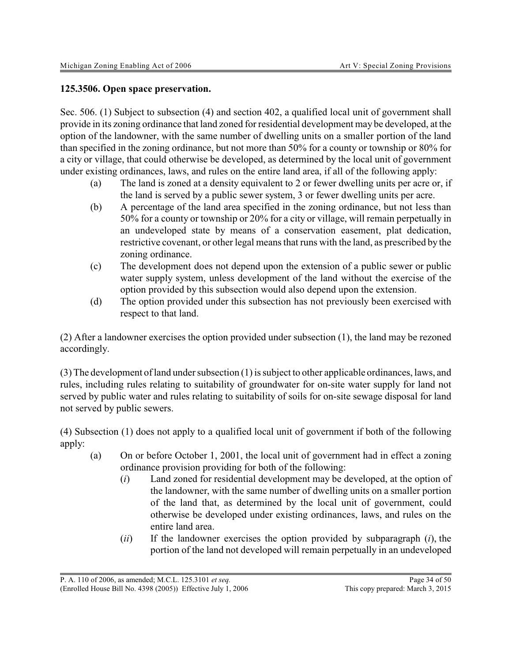#### **125.3506. Open space preservation.**

Sec. 506. (1) Subject to subsection (4) and section 402, a qualified local unit of government shall provide in its zoning ordinance that land zoned for residential development may be developed, at the option of the landowner, with the same number of dwelling units on a smaller portion of the land than specified in the zoning ordinance, but not more than 50% for a county or township or 80% for a city or village, that could otherwise be developed, as determined by the local unit of government under existing ordinances, laws, and rules on the entire land area, if all of the following apply:

- (a) The land is zoned at a density equivalent to 2 or fewer dwelling units per acre or, if the land is served by a public sewer system, 3 or fewer dwelling units per acre.
- (b) A percentage of the land area specified in the zoning ordinance, but not less than 50% for a county or township or 20% for a city or village, will remain perpetually in an undeveloped state by means of a conservation easement, plat dedication, restrictive covenant, or other legal means that runs with the land, as prescribed by the zoning ordinance.
- (c) The development does not depend upon the extension of a public sewer or public water supply system, unless development of the land without the exercise of the option provided by this subsection would also depend upon the extension.
- (d) The option provided under this subsection has not previously been exercised with respect to that land.

(2) After a landowner exercises the option provided under subsection (1), the land may be rezoned accordingly.

(3) The development of land under subsection (1) is subject to other applicable ordinances, laws, and rules, including rules relating to suitability of groundwater for on-site water supply for land not served by public water and rules relating to suitability of soils for on-site sewage disposal for land not served by public sewers.

(4) Subsection (1) does not apply to a qualified local unit of government if both of the following apply:

- (a) On or before October 1, 2001, the local unit of government had in effect a zoning ordinance provision providing for both of the following:
	- (*i*) Land zoned for residential development may be developed, at the option of the landowner, with the same number of dwelling units on a smaller portion of the land that, as determined by the local unit of government, could otherwise be developed under existing ordinances, laws, and rules on the entire land area.
	- (*ii*) If the landowner exercises the option provided by subparagraph (*i*), the portion of the land not developed will remain perpetually in an undeveloped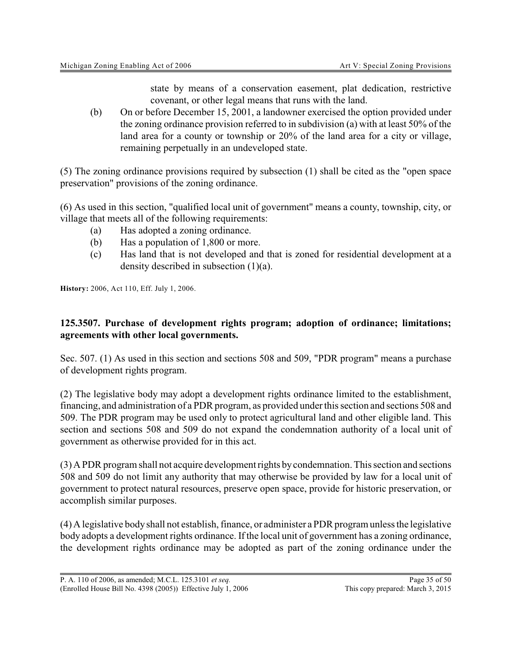state by means of a conservation easement, plat dedication, restrictive covenant, or other legal means that runs with the land.

(b) On or before December 15, 2001, a landowner exercised the option provided under the zoning ordinance provision referred to in subdivision (a) with at least 50% of the land area for a county or township or 20% of the land area for a city or village, remaining perpetually in an undeveloped state.

(5) The zoning ordinance provisions required by subsection (1) shall be cited as the "open space preservation" provisions of the zoning ordinance.

(6) As used in this section, "qualified local unit of government" means a county, township, city, or village that meets all of the following requirements:

- (a) Has adopted a zoning ordinance.
- (b) Has a population of 1,800 or more.
- (c) Has land that is not developed and that is zoned for residential development at a density described in subsection (1)(a).

**History:** 2006, Act 110, Eff. July 1, 2006.

#### **125.3507. Purchase of development rights program; adoption of ordinance; limitations; agreements with other local governments.**

Sec. 507. (1) As used in this section and sections 508 and 509, "PDR program" means a purchase of development rights program.

(2) The legislative body may adopt a development rights ordinance limited to the establishment, financing, and administration of a PDR program, as provided under this section and sections 508 and 509. The PDR program may be used only to protect agricultural land and other eligible land. This section and sections 508 and 509 do not expand the condemnation authority of a local unit of government as otherwise provided for in this act.

(3) A PDR program shall not acquire development rights bycondemnation. This section and sections 508 and 509 do not limit any authority that may otherwise be provided by law for a local unit of government to protect natural resources, preserve open space, provide for historic preservation, or accomplish similar purposes.

(4) A legislative body shall not establish, finance, or administer a PDR program unless the legislative body adopts a development rights ordinance. If the local unit of government has a zoning ordinance, the development rights ordinance may be adopted as part of the zoning ordinance under the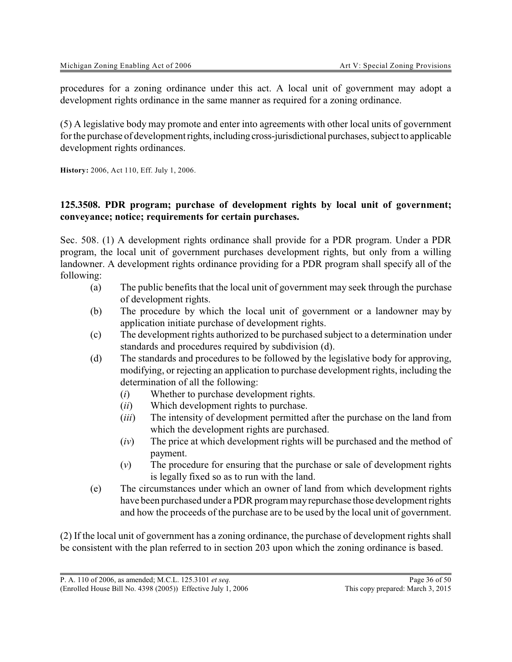procedures for a zoning ordinance under this act. A local unit of government may adopt a development rights ordinance in the same manner as required for a zoning ordinance.

(5) A legislative body may promote and enter into agreements with other local units of government for the purchase of developmentrights, including cross-jurisdictional purchases, subject to applicable development rights ordinances.

**History:** 2006, Act 110, Eff. July 1, 2006.

#### **125.3508. PDR program; purchase of development rights by local unit of government; conveyance; notice; requirements for certain purchases.**

Sec. 508. (1) A development rights ordinance shall provide for a PDR program. Under a PDR program, the local unit of government purchases development rights, but only from a willing landowner. A development rights ordinance providing for a PDR program shall specify all of the following:

- (a) The public benefits that the local unit of government may seek through the purchase of development rights.
- (b) The procedure by which the local unit of government or a landowner may by application initiate purchase of development rights.
- (c) The development rights authorized to be purchased subject to a determination under standards and procedures required by subdivision (d).
- (d) The standards and procedures to be followed by the legislative body for approving, modifying, or rejecting an application to purchase development rights, including the determination of all the following:
	- (*i*) Whether to purchase development rights.
	- (*ii*) Which development rights to purchase.
	- (*iii*) The intensity of development permitted after the purchase on the land from which the development rights are purchased.
	- (*iv*) The price at which development rights will be purchased and the method of payment.
	- (*v*) The procedure for ensuring that the purchase or sale of development rights is legally fixed so as to run with the land.
- (e) The circumstances under which an owner of land from which development rights have been purchased under a PDR program mayrepurchase those development rights and how the proceeds of the purchase are to be used by the local unit of government.

(2) If the local unit of government has a zoning ordinance, the purchase of development rights shall be consistent with the plan referred to in section 203 upon which the zoning ordinance is based.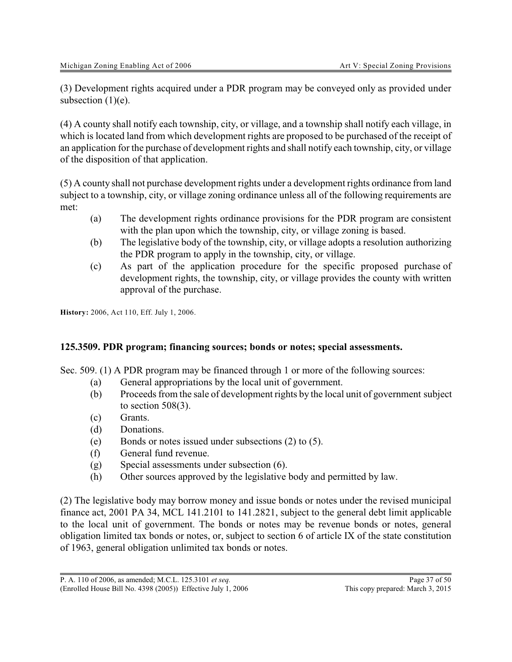(3) Development rights acquired under a PDR program may be conveyed only as provided under subsection  $(1)(e)$ .

(4) A county shall notify each township, city, or village, and a township shall notify each village, in which is located land from which development rights are proposed to be purchased of the receipt of an application for the purchase of development rights and shall notify each township, city, or village of the disposition of that application.

(5) A county shall not purchase development rights under a development rights ordinance from land subject to a township, city, or village zoning ordinance unless all of the following requirements are met:

- (a) The development rights ordinance provisions for the PDR program are consistent with the plan upon which the township, city, or village zoning is based.
- (b) The legislative body of the township, city, or village adopts a resolution authorizing the PDR program to apply in the township, city, or village.
- (c) As part of the application procedure for the specific proposed purchase of development rights, the township, city, or village provides the county with written approval of the purchase.

**History:** 2006, Act 110, Eff. July 1, 2006.

# **125.3509. PDR program; financing sources; bonds or notes; special assessments.**

Sec. 509. (1) A PDR program may be financed through 1 or more of the following sources:

- (a) General appropriations by the local unit of government.
- (b) Proceeds from the sale of development rights by the local unit of government subject to section 508(3).
- (c) Grants.
- (d) Donations.
- (e) Bonds or notes issued under subsections (2) to (5).
- (f) General fund revenue.
- (g) Special assessments under subsection (6).
- (h) Other sources approved by the legislative body and permitted by law.

(2) The legislative body may borrow money and issue bonds or notes under the revised municipal finance act, 2001 PA 34, MCL 141.2101 to 141.2821, subject to the general debt limit applicable to the local unit of government. The bonds or notes may be revenue bonds or notes, general obligation limited tax bonds or notes, or, subject to section 6 of article IX of the state constitution of 1963, general obligation unlimited tax bonds or notes.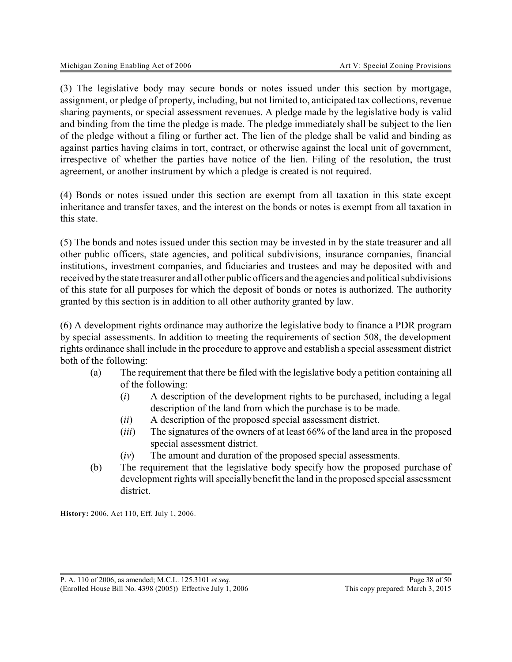(3) The legislative body may secure bonds or notes issued under this section by mortgage, assignment, or pledge of property, including, but not limited to, anticipated tax collections, revenue sharing payments, or special assessment revenues. A pledge made by the legislative body is valid and binding from the time the pledge is made. The pledge immediately shall be subject to the lien of the pledge without a filing or further act. The lien of the pledge shall be valid and binding as against parties having claims in tort, contract, or otherwise against the local unit of government, irrespective of whether the parties have notice of the lien. Filing of the resolution, the trust agreement, or another instrument by which a pledge is created is not required.

(4) Bonds or notes issued under this section are exempt from all taxation in this state except inheritance and transfer taxes, and the interest on the bonds or notes is exempt from all taxation in this state.

(5) The bonds and notes issued under this section may be invested in by the state treasurer and all other public officers, state agencies, and political subdivisions, insurance companies, financial institutions, investment companies, and fiduciaries and trustees and may be deposited with and received bythe state treasurer and all other public officers and the agencies and political subdivisions of this state for all purposes for which the deposit of bonds or notes is authorized. The authority granted by this section is in addition to all other authority granted by law.

(6) A development rights ordinance may authorize the legislative body to finance a PDR program by special assessments. In addition to meeting the requirements of section 508, the development rights ordinance shall include in the procedure to approve and establish a special assessment district both of the following:

- (a) The requirement that there be filed with the legislative body a petition containing all of the following:
	- (*i*) A description of the development rights to be purchased, including a legal description of the land from which the purchase is to be made.
	- (*ii*) A description of the proposed special assessment district.
	- (*iii*) The signatures of the owners of at least 66% of the land area in the proposed special assessment district.
	- (*iv*) The amount and duration of the proposed special assessments.
- (b) The requirement that the legislative body specify how the proposed purchase of development rights will specially benefit the land in the proposed special assessment district.

**History:** 2006, Act 110, Eff. July 1, 2006.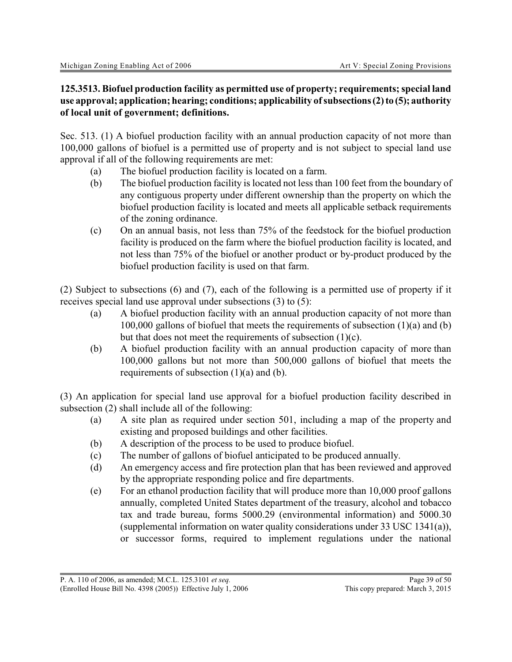#### **125.3513. Biofuel production facility as permitted use of property; requirements; special land use approval; application; hearing; conditions; applicability of subsections(2)to (5); authority of local unit of government; definitions.**

Sec. 513. (1) A biofuel production facility with an annual production capacity of not more than 100,000 gallons of biofuel is a permitted use of property and is not subject to special land use approval if all of the following requirements are met:

- (a) The biofuel production facility is located on a farm.
- (b) The biofuel production facility is located not less than 100 feet from the boundary of any contiguous property under different ownership than the property on which the biofuel production facility is located and meets all applicable setback requirements of the zoning ordinance.
- (c) On an annual basis, not less than 75% of the feedstock for the biofuel production facility is produced on the farm where the biofuel production facility is located, and not less than 75% of the biofuel or another product or by-product produced by the biofuel production facility is used on that farm.

(2) Subject to subsections (6) and (7), each of the following is a permitted use of property if it receives special land use approval under subsections (3) to (5):

- (a) A biofuel production facility with an annual production capacity of not more than 100,000 gallons of biofuel that meets the requirements of subsection (1)(a) and (b) but that does not meet the requirements of subsection (1)(c).
- (b) A biofuel production facility with an annual production capacity of more than 100,000 gallons but not more than 500,000 gallons of biofuel that meets the requirements of subsection (1)(a) and (b).

(3) An application for special land use approval for a biofuel production facility described in subsection (2) shall include all of the following:

- (a) A site plan as required under section 501, including a map of the property and existing and proposed buildings and other facilities.
- (b) A description of the process to be used to produce biofuel.
- (c) The number of gallons of biofuel anticipated to be produced annually.
- (d) An emergency access and fire protection plan that has been reviewed and approved by the appropriate responding police and fire departments.
- (e) For an ethanol production facility that will produce more than 10,000 proof gallons annually, completed United States department of the treasury, alcohol and tobacco tax and trade bureau, forms 5000.29 (environmental information) and 5000.30 (supplemental information on water quality considerations under 33 USC 1341(a)), or successor forms, required to implement regulations under the national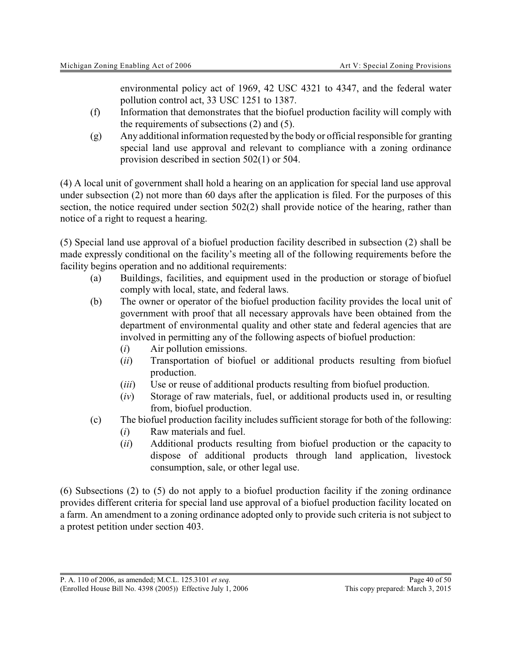environmental policy act of 1969, 42 USC 4321 to 4347, and the federal water pollution control act, 33 USC 1251 to 1387.

- (f) Information that demonstrates that the biofuel production facility will comply with the requirements of subsections (2) and (5).
- (g) Any additional information requested by the body or official responsible for granting special land use approval and relevant to compliance with a zoning ordinance provision described in section 502(1) or 504.

(4) A local unit of government shall hold a hearing on an application for special land use approval under subsection (2) not more than 60 days after the application is filed. For the purposes of this section, the notice required under section 502(2) shall provide notice of the hearing, rather than notice of a right to request a hearing.

(5) Special land use approval of a biofuel production facility described in subsection (2) shall be made expressly conditional on the facility's meeting all of the following requirements before the facility begins operation and no additional requirements:

- (a) Buildings, facilities, and equipment used in the production or storage of biofuel comply with local, state, and federal laws.
- (b) The owner or operator of the biofuel production facility provides the local unit of government with proof that all necessary approvals have been obtained from the department of environmental quality and other state and federal agencies that are involved in permitting any of the following aspects of biofuel production:
	- (*i*) Air pollution emissions.
	- (*ii*) Transportation of biofuel or additional products resulting from biofuel production.
	- (*iii*) Use or reuse of additional products resulting from biofuel production.
	- (*iv*) Storage of raw materials, fuel, or additional products used in, or resulting from, biofuel production.
- (c) The biofuel production facility includes sufficient storage for both of the following:
	- (*i*) Raw materials and fuel.
	- (*ii*) Additional products resulting from biofuel production or the capacity to dispose of additional products through land application, livestock consumption, sale, or other legal use.

(6) Subsections (2) to (5) do not apply to a biofuel production facility if the zoning ordinance provides different criteria for special land use approval of a biofuel production facility located on a farm. An amendment to a zoning ordinance adopted only to provide such criteria is not subject to a protest petition under section 403.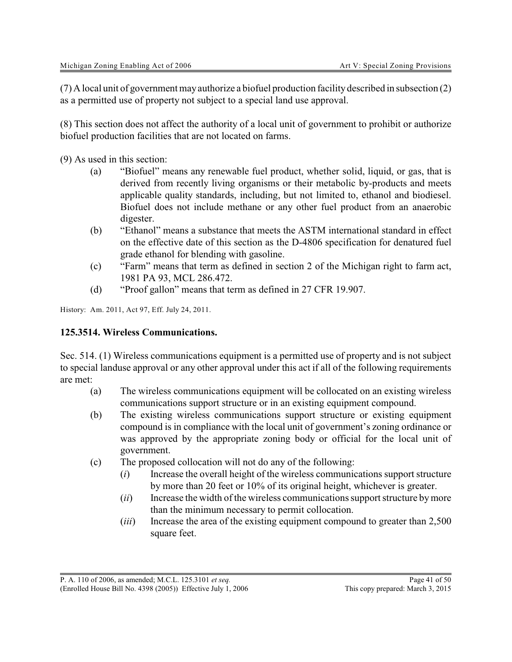(7) A local unit of government mayauthorize a biofuel production facility described in subsection (2) as a permitted use of property not subject to a special land use approval.

(8) This section does not affect the authority of a local unit of government to prohibit or authorize biofuel production facilities that are not located on farms.

(9) As used in this section:

- (a) "Biofuel" means any renewable fuel product, whether solid, liquid, or gas, that is derived from recently living organisms or their metabolic by-products and meets applicable quality standards, including, but not limited to, ethanol and biodiesel. Biofuel does not include methane or any other fuel product from an anaerobic digester.
- (b) "Ethanol" means a substance that meets the ASTM international standard in effect on the effective date of this section as the D-4806 specification for denatured fuel grade ethanol for blending with gasoline.
- (c) "Farm" means that term as defined in section 2 of the Michigan right to farm act, 1981 PA 93, MCL 286.472.
- (d) "Proof gallon" means that term as defined in 27 CFR 19.907.

History: Am. 2011, Act 97, Eff. July 24, 2011.

### **125.3514. Wireless Communications.**

Sec. 514. (1) Wireless communications equipment is a permitted use of property and is not subject to special landuse approval or any other approval under this act if all of the following requirements are met:

- (a) The wireless communications equipment will be collocated on an existing wireless communications support structure or in an existing equipment compound.
- (b) The existing wireless communications support structure or existing equipment compound is in compliance with the local unit of government's zoning ordinance or was approved by the appropriate zoning body or official for the local unit of government.
- (c) The proposed collocation will not do any of the following:
	- (*i*) Increase the overall height of the wireless communications support structure by more than 20 feet or 10% of its original height, whichever is greater.
	- (*ii*) Increase the width of the wireless communications support structure bymore than the minimum necessary to permit collocation.
	- (*iii*) Increase the area of the existing equipment compound to greater than 2,500 square feet.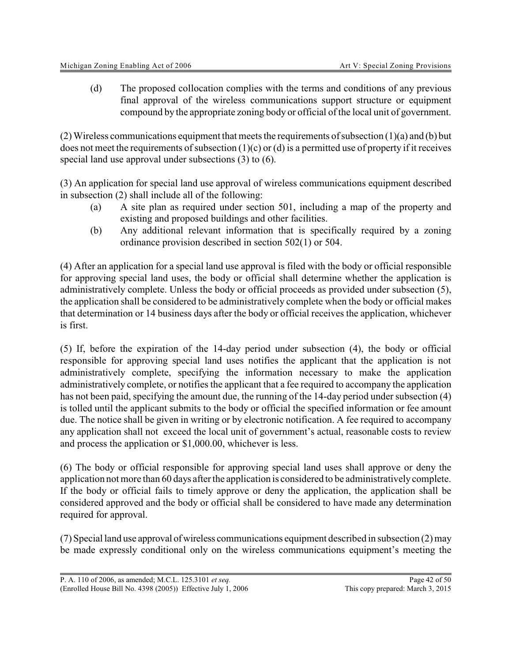(d) The proposed collocation complies with the terms and conditions of any previous final approval of the wireless communications support structure or equipment compound by the appropriate zoning body or official of the local unit of government.

(2) Wireless communications equipment that meets the requirements of subsection  $(1)(a)$  and  $(b)$  but does not meet the requirements of subsection  $(1)(c)$  or  $(d)$  is a permitted use of property if it receives special land use approval under subsections (3) to (6).

(3) An application for special land use approval of wireless communications equipment described in subsection (2) shall include all of the following:

- (a) A site plan as required under section 501, including a map of the property and existing and proposed buildings and other facilities.
- (b) Any additional relevant information that is specifically required by a zoning ordinance provision described in section 502(1) or 504.

(4) After an application for a special land use approval is filed with the body or official responsible for approving special land uses, the body or official shall determine whether the application is administratively complete. Unless the body or official proceeds as provided under subsection (5), the application shall be considered to be administratively complete when the body or official makes that determination or 14 business days after the body or official receives the application, whichever is first.

(5) If, before the expiration of the 14-day period under subsection (4), the body or official responsible for approving special land uses notifies the applicant that the application is not administratively complete, specifying the information necessary to make the application administratively complete, or notifies the applicant that a fee required to accompany the application has not been paid, specifying the amount due, the running of the 14-day period under subsection (4) is tolled until the applicant submits to the body or official the specified information or fee amount due. The notice shall be given in writing or by electronic notification. A fee required to accompany any application shall not exceed the local unit of government's actual, reasonable costs to review and process the application or \$1,000.00, whichever is less.

(6) The body or official responsible for approving special land uses shall approve or deny the application not more than 60 days after the application is considered to be administrativelycomplete. If the body or official fails to timely approve or deny the application, the application shall be considered approved and the body or official shall be considered to have made any determination required for approval.

(7) Special land use approval ofwireless communications equipment described in subsection (2) may be made expressly conditional only on the wireless communications equipment's meeting the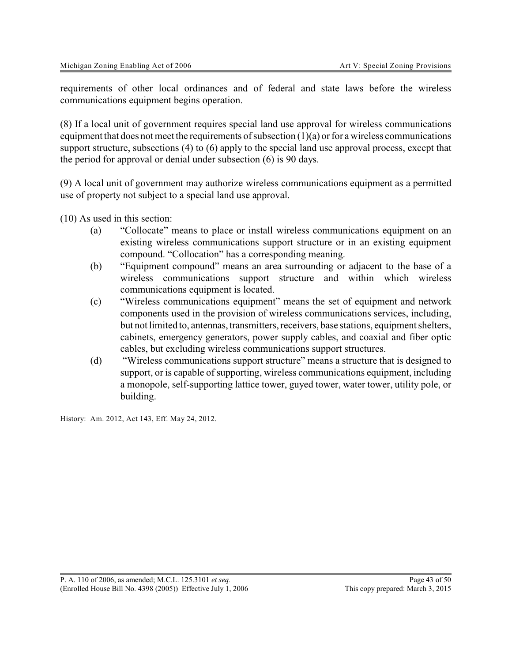requirements of other local ordinances and of federal and state laws before the wireless communications equipment begins operation.

(8) If a local unit of government requires special land use approval for wireless communications equipment that does not meet the requirements of subsection  $(1)(a)$  or for a wireless communications support structure, subsections (4) to (6) apply to the special land use approval process, except that the period for approval or denial under subsection (6) is 90 days.

(9) A local unit of government may authorize wireless communications equipment as a permitted use of property not subject to a special land use approval.

(10) As used in this section:

- (a) "Collocate" means to place or install wireless communications equipment on an existing wireless communications support structure or in an existing equipment compound. "Collocation" has a corresponding meaning.
- (b) "Equipment compound" means an area surrounding or adjacent to the base of a wireless communications support structure and within which wireless communications equipment is located.
- (c) "Wireless communications equipment" means the set of equipment and network components used in the provision of wireless communications services, including, but not limited to, antennas, transmitters, receivers, base stations, equipment shelters, cabinets, emergency generators, power supply cables, and coaxial and fiber optic cables, but excluding wireless communications support structures.
- (d) "Wireless communications support structure" means a structure that is designed to support, or is capable of supporting, wireless communications equipment, including a monopole, self-supporting lattice tower, guyed tower, water tower, utility pole, or building.

History: Am. 2012, Act 143, Eff. May 24, 2012.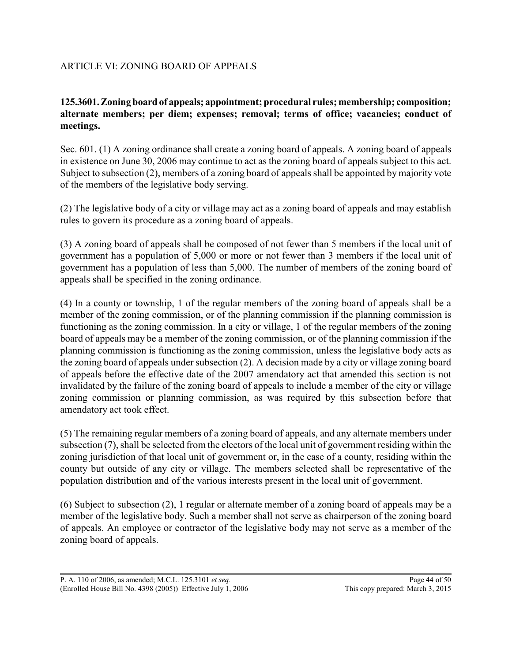# ARTICLE VI: ZONING BOARD OF APPEALS

# **125.3601.Zoningboard of appeals; appointment; procedural rules; membership; composition; alternate members; per diem; expenses; removal; terms of office; vacancies; conduct of meetings.**

Sec. 601. (1) A zoning ordinance shall create a zoning board of appeals. A zoning board of appeals in existence on June 30, 2006 may continue to act as the zoning board of appeals subject to this act. Subject to subsection (2), members of a zoning board of appeals shall be appointed by majority vote of the members of the legislative body serving.

(2) The legislative body of a city or village may act as a zoning board of appeals and may establish rules to govern its procedure as a zoning board of appeals.

(3) A zoning board of appeals shall be composed of not fewer than 5 members if the local unit of government has a population of 5,000 or more or not fewer than 3 members if the local unit of government has a population of less than 5,000. The number of members of the zoning board of appeals shall be specified in the zoning ordinance.

(4) In a county or township, 1 of the regular members of the zoning board of appeals shall be a member of the zoning commission, or of the planning commission if the planning commission is functioning as the zoning commission. In a city or village, 1 of the regular members of the zoning board of appeals may be a member of the zoning commission, or of the planning commission if the planning commission is functioning as the zoning commission, unless the legislative body acts as the zoning board of appeals under subsection (2). A decision made by a city or village zoning board of appeals before the effective date of the 2007 amendatory act that amended this section is not invalidated by the failure of the zoning board of appeals to include a member of the city or village zoning commission or planning commission, as was required by this subsection before that amendatory act took effect.

(5) The remaining regular members of a zoning board of appeals, and any alternate members under subsection (7), shall be selected from the electors of the local unit of government residing within the zoning jurisdiction of that local unit of government or, in the case of a county, residing within the county but outside of any city or village. The members selected shall be representative of the population distribution and of the various interests present in the local unit of government.

(6) Subject to subsection (2), 1 regular or alternate member of a zoning board of appeals may be a member of the legislative body. Such a member shall not serve as chairperson of the zoning board of appeals. An employee or contractor of the legislative body may not serve as a member of the zoning board of appeals.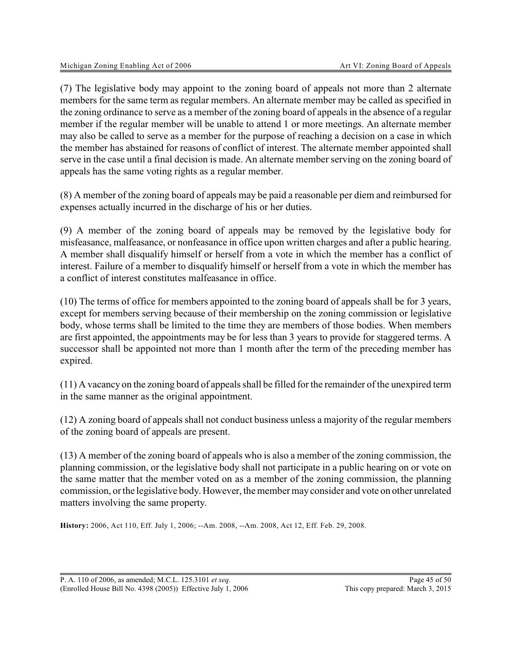(7) The legislative body may appoint to the zoning board of appeals not more than 2 alternate members for the same term as regular members. An alternate member may be called as specified in the zoning ordinance to serve as a member of the zoning board of appeals in the absence of a regular member if the regular member will be unable to attend 1 or more meetings. An alternate member may also be called to serve as a member for the purpose of reaching a decision on a case in which the member has abstained for reasons of conflict of interest. The alternate member appointed shall serve in the case until a final decision is made. An alternate member serving on the zoning board of appeals has the same voting rights as a regular member.

(8) A member of the zoning board of appeals may be paid a reasonable per diem and reimbursed for expenses actually incurred in the discharge of his or her duties.

(9) A member of the zoning board of appeals may be removed by the legislative body for misfeasance, malfeasance, or nonfeasance in office upon written charges and after a public hearing. A member shall disqualify himself or herself from a vote in which the member has a conflict of interest. Failure of a member to disqualify himself or herself from a vote in which the member has a conflict of interest constitutes malfeasance in office.

(10) The terms of office for members appointed to the zoning board of appeals shall be for 3 years, except for members serving because of their membership on the zoning commission or legislative body, whose terms shall be limited to the time they are members of those bodies. When members are first appointed, the appointments may be for less than 3 years to provide for staggered terms. A successor shall be appointed not more than 1 month after the term of the preceding member has expired.

(11) A vacancy on the zoning board of appeals shall be filled for the remainder of the unexpired term in the same manner as the original appointment.

(12) A zoning board of appeals shall not conduct business unless a majority of the regular members of the zoning board of appeals are present.

(13) A member of the zoning board of appeals who is also a member of the zoning commission, the planning commission, or the legislative body shall not participate in a public hearing on or vote on the same matter that the member voted on as a member of the zoning commission, the planning commission, or the legislative body. However, the member mayconsider and vote on other unrelated matters involving the same property.

**History:** 2006, Act 110, Eff. July 1, 2006; --Am. 2008, --Am. 2008, Act 12, Eff. Feb. 29, 2008.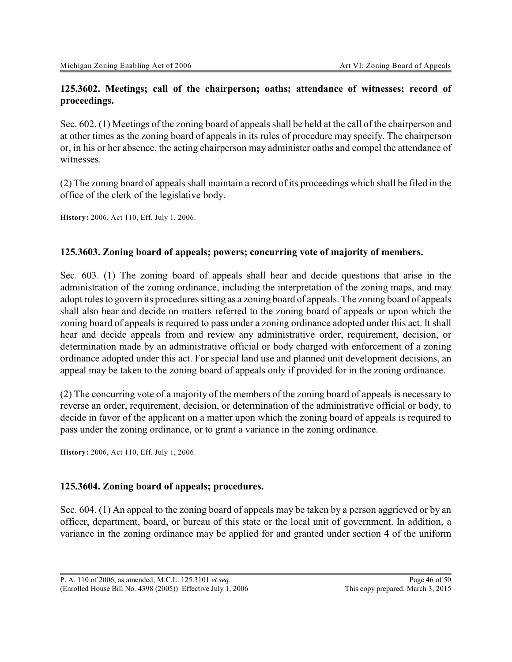# **125.3602. Meetings; call of the chairperson; oaths; attendance of witnesses; record of proceedings.**

Sec. 602. (1) Meetings of the zoning board of appeals shall be held at the call of the chairperson and at other times as the zoning board of appeals in its rules of procedure may specify. The chairperson or, in his or her absence, the acting chairperson may administer oaths and compel the attendance of witnesses.

(2) The zoning board of appeals shall maintain a record of its proceedings which shall be filed in the office of the clerk of the legislative body.

**History:** 2006, Act 110, Eff. July 1, 2006.

# **125.3603. Zoning board of appeals; powers; concurring vote of majority of members.**

Sec. 603. (1) The zoning board of appeals shall hear and decide questions that arise in the administration of the zoning ordinance, including the interpretation of the zoning maps, and may adopt rules to govern its procedures sitting as a zoning board of appeals. The zoning board of appeals shall also hear and decide on matters referred to the zoning board of appeals or upon which the zoning board of appeals is required to pass under a zoning ordinance adopted under this act. It shall hear and decide appeals from and review any administrative order, requirement, decision, or determination made by an administrative official or body charged with enforcement of a zoning ordinance adopted under this act. For special land use and planned unit development decisions, an appeal may be taken to the zoning board of appeals only if provided for in the zoning ordinance.

(2) The concurring vote of a majority of the members of the zoning board of appeals is necessary to reverse an order, requirement, decision, or determination of the administrative official or body, to decide in favor of the applicant on a matter upon which the zoning board of appeals is required to pass under the zoning ordinance, or to grant a variance in the zoning ordinance.

**History:** 2006, Act 110, Eff. July 1, 2006.

#### **125.3604. Zoning board of appeals; procedures.**

Sec. 604. (1) An appeal to the zoning board of appeals may be taken by a person aggrieved or by an officer, department, board, or bureau of this state or the local unit of government. In addition, a variance in the zoning ordinance may be applied for and granted under section 4 of the uniform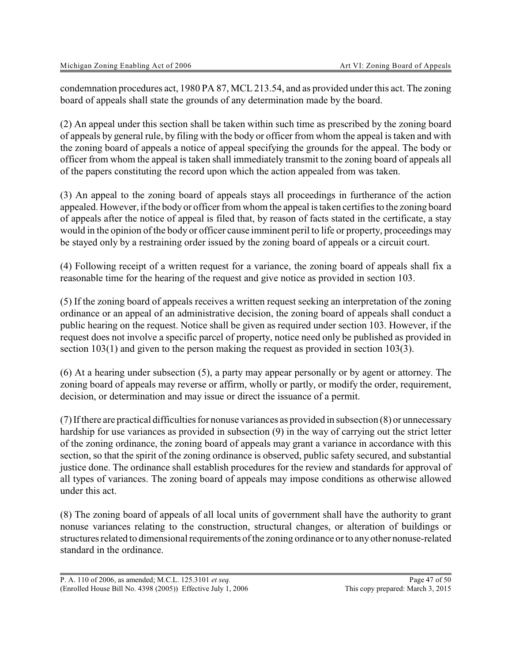condemnation procedures act, 1980 PA 87, MCL 213.54, and as provided under this act. The zoning board of appeals shall state the grounds of any determination made by the board.

(2) An appeal under this section shall be taken within such time as prescribed by the zoning board of appeals by general rule, by filing with the body or officer from whom the appeal is taken and with the zoning board of appeals a notice of appeal specifying the grounds for the appeal. The body or officer from whom the appeal is taken shall immediately transmit to the zoning board of appeals all of the papers constituting the record upon which the action appealed from was taken.

(3) An appeal to the zoning board of appeals stays all proceedings in furtherance of the action appealed. However, if the body or officer from whom the appeal is taken certifies to the zoning board of appeals after the notice of appeal is filed that, by reason of facts stated in the certificate, a stay would in the opinion of the body or officer cause imminent peril to life or property, proceedings may be stayed only by a restraining order issued by the zoning board of appeals or a circuit court.

(4) Following receipt of a written request for a variance, the zoning board of appeals shall fix a reasonable time for the hearing of the request and give notice as provided in section 103.

(5) If the zoning board of appeals receives a written request seeking an interpretation of the zoning ordinance or an appeal of an administrative decision, the zoning board of appeals shall conduct a public hearing on the request. Notice shall be given as required under section 103. However, if the request does not involve a specific parcel of property, notice need only be published as provided in section 103(1) and given to the person making the request as provided in section 103(3).

(6) At a hearing under subsection (5), a party may appear personally or by agent or attorney. The zoning board of appeals may reverse or affirm, wholly or partly, or modify the order, requirement, decision, or determination and may issue or direct the issuance of a permit.

(7) If there are practical difficulties for nonuse variances as provided in subsection (8) or unnecessary hardship for use variances as provided in subsection (9) in the way of carrying out the strict letter of the zoning ordinance, the zoning board of appeals may grant a variance in accordance with this section, so that the spirit of the zoning ordinance is observed, public safety secured, and substantial justice done. The ordinance shall establish procedures for the review and standards for approval of all types of variances. The zoning board of appeals may impose conditions as otherwise allowed under this act.

(8) The zoning board of appeals of all local units of government shall have the authority to grant nonuse variances relating to the construction, structural changes, or alteration of buildings or structures related to dimensional requirements of the zoning ordinance or to anyother nonuse-related standard in the ordinance.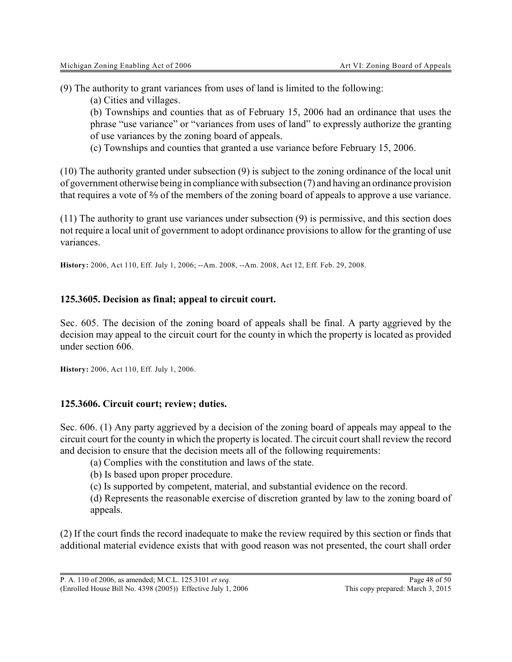(9) The authority to grant variances from uses of land is limited to the following:

(a) Cities and villages.

(b) Townships and counties that as of February 15, 2006 had an ordinance that uses the phrase "use variance" or "variances from uses of land" to expressly authorize the granting of use variances by the zoning board of appeals.

(c) Townships and counties that granted a use variance before February 15, 2006.

(10) The authority granted under subsection (9) is subject to the zoning ordinance of the local unit of government otherwise being in compliancewith subsection (7) and having an ordinance provision that requires a vote of  $\frac{2}{3}$  of the members of the zoning board of appeals to approve a use variance.

(11) The authority to grant use variances under subsection (9) is permissive, and this section does not require a local unit of government to adopt ordinance provisions to allow for the granting of use variances.

**History:** 2006, Act 110, Eff. July 1, 2006; --Am. 2008, --Am. 2008, Act 12, Eff. Feb. 29, 2008.

#### **125.3605. Decision as final; appeal to circuit court.**

Sec. 605. The decision of the zoning board of appeals shall be final. A party aggrieved by the decision may appeal to the circuit court for the county in which the property is located as provided under section 606.

**History:** 2006, Act 110, Eff. July 1, 2006.

#### **125.3606. Circuit court; review; duties.**

Sec. 606. (1) Any party aggrieved by a decision of the zoning board of appeals may appeal to the circuit court for the county in which the property is located. The circuit court shall review the record and decision to ensure that the decision meets all of the following requirements:

(a) Complies with the constitution and laws of the state.

(b) Is based upon proper procedure.

(c) Is supported by competent, material, and substantial evidence on the record.

(d) Represents the reasonable exercise of discretion granted by law to the zoning board of appeals.

(2) If the court finds the record inadequate to make the review required by this section or finds that additional material evidence exists that with good reason was not presented, the court shall order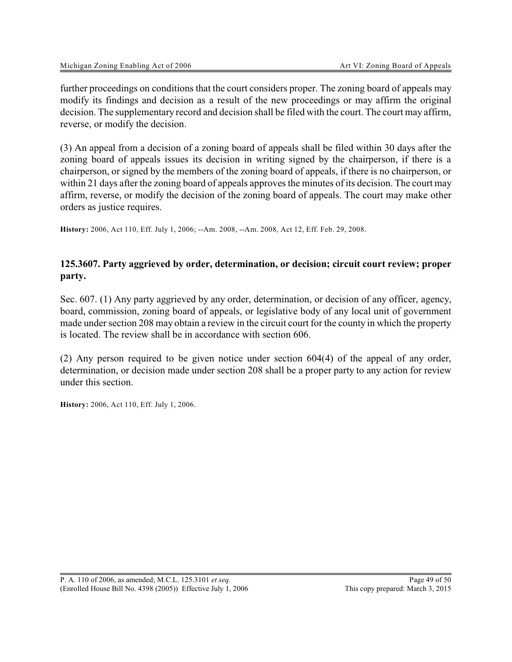further proceedings on conditions that the court considers proper. The zoning board of appeals may modify its findings and decision as a result of the new proceedings or may affirm the original decision. The supplementary record and decision shall be filed with the court. The court may affirm, reverse, or modify the decision.

(3) An appeal from a decision of a zoning board of appeals shall be filed within 30 days after the zoning board of appeals issues its decision in writing signed by the chairperson, if there is a chairperson, or signed by the members of the zoning board of appeals, if there is no chairperson, or within 21 days after the zoning board of appeals approves the minutes of its decision. The court may affirm, reverse, or modify the decision of the zoning board of appeals. The court may make other orders as justice requires.

**History:** 2006, Act 110, Eff. July 1, 2006; --Am. 2008, --Am. 2008, Act 12, Eff. Feb. 29, 2008.

# **125.3607. Party aggrieved by order, determination, or decision; circuit court review; proper party.**

Sec. 607. (1) Any party aggrieved by any order, determination, or decision of any officer, agency, board, commission, zoning board of appeals, or legislative body of any local unit of government made under section 208 may obtain a review in the circuit court for the county in which the property is located. The review shall be in accordance with section 606.

(2) Any person required to be given notice under section 604(4) of the appeal of any order, determination, or decision made under section 208 shall be a proper party to any action for review under this section.

**History:** 2006, Act 110, Eff. July 1, 2006.